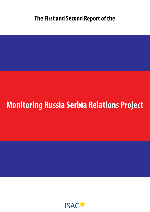# **Monitoring Russia Serbia Relations Project**

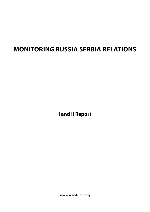# **Monitoring Russia Serbia Relations**

**I and II Report**

**www.isac-fund.org**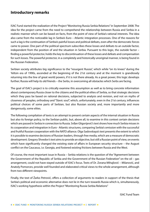### **Introductory remarks**

ISAC Fund started the realization of the Project "Monitoring Russia Serbia Relations" in September 2008. The idea for the project came from the need to comprehend the relationship between Russia and Serbia in a realistic manner which can be based on facts, from the point of view of Serbia's rational interests. The idea also came from the noticeable lag in Serbia's Euro – Atlantic integration processes. One of the reasons for such a lag is the continuation of Serbia's painful losses and political defeats, even after the democratic forces came to power. One part of the political spectrum subscribes these losses and defeats to an outside factor, independent from the position of and the situation in Serbia. Pursuant to this logic, the outside factor – finding a powerful protector, holds the key to discontinuation of these losses and defeats and compensation for such losses. The powerful protector, in a completely and historically unoriginal manner, is being found in the Russian Federation.

Serbian society attributes big significance to the "resurgent Russia", which while "on its knees" during the Yeltsin era of 1990s, ascended at the beginning of the 21st century and at the moment is grandiosely returning into the line of great world powers, if it is not there already. As a great power, this logic develops further; Russia will help its old friends – the Serbs, in overcoming all obstacles which Serbs are facing.

The goal of ISAC's project is to critically examine this assumption as well as to bring concrete information about contemporary Russia closer to the citizens and the political elites of Serbia, so that strategic decisions which they pass be based on rational decisions, subjected to analysis and revision, and not on myths of closeness of peoples, orthodoxy and "Slavic soul", which, unfortunately, even in the 21st century, influences political choices of some parts of Serbian, but also Russian society and, more importantly and more dangerously, some elites.

The following compilation of texts is an attempt to present certain aspects of the internal situation in Russia but also its foreign policy, to the Serbian public, but, above all, to examine in this context certain decisions which are passed in Serbia in connection to Russia. Srđan Gligorijević's text shows how much Serbia misses in its cooperation and integration in Euro - Atlantic structures, comparing Serbia's omission with the successful and fruitful Russian cooperation with the NATO alliance. Olga Sadovskaya's text presents the extent to which it is possible to examine decisions of Russian leaders, through free media, which are a measure of democratic development. Gregory Shvedov's text aims to provide an objective, but still a Russian point of view, on events which have significantly changed the existing state of affairs in European security structure – the August conflict on the Caucasus, i.e. Georgia, and fostered existing frictions between Russia and the West.

Of course, the most important issue in Russia – Serbia relations is the question of the "Agreement between the Government of the Republic of Serbia and the Government of the Russian Federation" on the oil – gas arrangement, could not have stayed outside of ISAC's focus. Texts of Dr. Zorana Mihajlović – Milanović, and Anatoly Pomorcev, provide well founded and elaborated critical views to the whole arrangement, although from two different viewpoints.

Finally, the text of Žarko Petrović, offers a collection of arguments to readers in support of the thesis that Serbia's political and economic alternative does not lie in the turn towards Russia which is, simultaneously, ISAC's working hypothesis within the Project "Monitoring Russia Serbia Relations"

ISAC Fund Team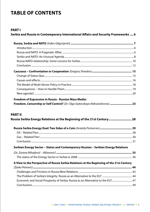# **Table of Contents**

### **PART I**

### **Serbia and Russia in Contemporary International Affairs and Security Frameworks .... 6**

| Freedom of Expression in Russia - Russian Mass Media:                                          |  |
|------------------------------------------------------------------------------------------------|--|
|                                                                                                |  |
| Freedom, Censorship or Self Control? (Dr. Olga Sadovskaya Aleksandrovna)  23<br><b>PART II</b> |  |
| Russia Serbia Energy Relations at the Beginning of the 21st Century 28                         |  |
|                                                                                                |  |
|                                                                                                |  |
|                                                                                                |  |
|                                                                                                |  |
| Serbian Energy Sector - Status and Contemporary Russian - Serbian Energy Relations             |  |
|                                                                                                |  |
|                                                                                                |  |
|                                                                                                |  |
| A View to the Perspective of Russia Serbia Relations at the Beginning of the 21st Century      |  |
|                                                                                                |  |
|                                                                                                |  |
| Economic and Social Prosperity of Serbia: Russia as an Alternative to the EU? 47               |  |
|                                                                                                |  |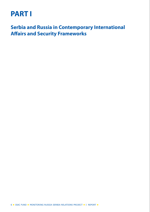# **PART I**

**Serbia and Russia in Contemporary International Affairs and Security Frameworks**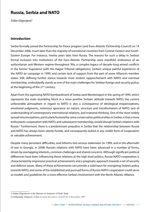### **Russia, Serbia and NATO**

*Srđan Gligorijević1*

### **Introduction**

Serbia formally joined the Partnership for Peace program (and Euro-Atlantic Partnership Council) on 14 December 2006, much later than the majority of transitional countries from Central, Eastern and South-Eastern Europe. For instance, twelve years later than Russia. The reasons for such a delay in Serbia's formal inclusion into institutions of the Euro-Atlantic Partnership were manifold: endurance of an authoritarian anti-Western regime throughout '90s, a complex legacy of decade-long armed conflicts in the former Yugoslavia (with the Hague Tribunal obligations), Serbia's unique painful experience of the NATO air campaign in 1999, and certain lack of support from the part of some Alliance's member states. Still, defining further stance towards more evident rapprochement with NATO, and eventual membership, undoubtedly stands as one of the main challenges for Serbian foreign and security policy, at the beginning of the 21<sup>st</sup> century.

Apart from the agonizing NATO bombardment of Serbia (and Montenegro) in the spring of 1999, which represents the main stumbling block in a more positive Serbian attitude towards NATO, the current unfavorable atmosphere in regard to NATO is also a consequence of ideological misperceptions, emotional judgments, notorious ignorance on nature, structure and transformation of NATO, lack of understanding of contemporary international relations, and irrational thinking. One of the most widely spread misconceptions, particularly fostered by some conservative political elites in Serbia, is that a more enthusiastic cooperation with NATO, and subsequent membership, would disrupt Serbia's relations with Russia.<sup>2</sup> Furthermore, there is a predominant prejudice in Serbia that the relationship between Russia and NATO has always been utterly hostile, and consequently lacked in any visible form of cooperation or valuable achievement.

Despite many persistent difficulties, and hitherto two serious stalemates (in 1999, and in the aftermath of war in Georgia, in 2008) Russia's relations with NATO have been advanced in a number of forms, driven by overlapping interests, common challenges and shared concerns. Although significant political differences have been influencing those relations at the high level politics, Russia-NATO cooperation is characterized by impressive practical achievements and a pragmatic approach towards a set of security and defense issues. Many of these achievements can provide a solid basis for energizing Serbia's policy towards NATO, and some of the established and pursued forms of Russia-NATO cooperation could serve as models and guidelines for a more effective Serbia's involvement with the North Atlantic Alliance.

<sup>1)</sup> Srđan Gligorijević is the Director of Analytics of ISAC fund.

<sup>2)</sup> Aleksandar Vidojevic, Srbija ne može biti ostrvo, in *DANAS*, 6 November 2007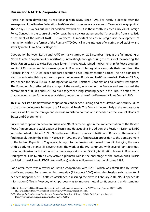### **Russia and NATO: A Pragmatic Affair**

Russia has been developing its relationship with NATO since 1991. For nearly a decade after the emergence of the Russian Federation, NATO-related issues were a key focus of Moscow's foreign policy.1 These days, Russia has outlined its position towards NATO, in the recently released (July 2008) Foreign Policy Concept. In the course of the Concept, there is a clear statement that "proceeding from a realistic assessment of the role of NATO, Russia deems it important to ensure progressive development of interaction within the format of the Russia-NATO Council in the interests of ensuring predictability and stability in the Euro-Atlantic Region".<sup>2</sup>

Cooperation between Russia and NATO formally started on 20 December 1991, at the first meeting of North Atlantic Cooperation Council (NACC). Interestingly enough, during the course of the meeting, the Soviet Union ceased to exist. Few years latter, in 1994, Russia joined the Partnership for Peace program, and in 1996, Russian soldiers were engaged in Bosnia and Herzegovina, alongside their peers from the Alliance, in the NATO-led peace support operation IFOR (Implementation Force). The next significant step towards establishing a closer cooperation between Russia and NATO was made in Paris, on 27 May 1997, when the NATO-Russia Founding Act on Mutual Relations, Cooperation and Security was signed. The Founding Act reflected the change of the security environment in Europe and emphasized the commitment of Russia and NATO to build together a long-standing peace in the Euro-Atlantic area. In that occasion, a new forum was established, under the name of the Permanent Joint Council (PJC).

This Council set a framework for cooperation, confidence building and consultations on security issues of the common interest, between the Alliance and Russia. The Council met regularly at the ambassadors level, as well as in the foreign and defense ministerial format, and if needed at the level of Heads of States and Governments.

Successful cooperation between Russia and NATO came to light in the implementation of the Dayton Peace Agreement and stabilization of Bosnia and Herzegovina. In addition, the Russian mission to NATO was established in March 1998. Nevertheless, different stances of NATO and Russia on the means of finding a solution for the crisis in Kosovo, in 1999, and the firm Russian opposition to the bombardment of the Federal Republic of Yugoslavia, brought to the Russian withdrawal from PJC, bringing the work of this body to a standstill. Nevertheless, the work of the PJC continued with several joint activities, including Russian participation in the peace support mission SFOR (Stabilization Force), in Bosnia and Herzegovina. Finally, after a very active diplomatic role in the final stage of the Kosovo crisis, Russia decided to participate in KFOR (Kosovo Force), with its military units, starting in June 1999.

Soon after, there was a revival of Russian cooperation with NATO, which was stimulated by several significant events. For example, the same day (12 August 2000) when the Russian submarine *Kursk* accident happened, NATO offered assistance in rescuing the crew. In February 2001, NATO opened its Information Office in Moscow, which purpose was to improve mutual confidence and understanding,

<sup>1)</sup> Dmitri Trenin, NATO and Russia: Sobering thoughts and practical suggestions, in *NATO Review*, Summer 2007, NATO HQ, available at: http://www.nato.int/docu/review/2007/issue2/english/art1.html

<sup>2)</sup> *The Foreign Policy Concept of the Russian Federation*, President of Russia, Official Web Portal, available at: http://www.kremlin.ru/eng/text/docs/2008/07/204750.shtml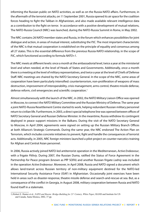informing the Russian public on NATO activities, as well as on the Russia-NATO affairs. Furthermore, in the aftermath of the terrorist attacks, on 11 September 2001, Russia opened its air space for the coalition forces heading to fight the Taliban in Afghanistan, and also made available relevant intelligence data as a contribution to the fight on terror. In accordance with a positive development of mutual relations, The NATO-Russia Council (NRC) was launched, during the NATO-Russia Summit in Rome, in May 2002.

The NRC contains 26 NATO member states and Russia, in the forum which enhances possibilities for joint dialogue and action, in areas of mutual interest, substituting the PJC. The most important characteristic of the NRC is that mutual cooperation is established on the principle of equality and consensus among all 27 states. This is the essential difference from the previous Russia-NATO relationship, in the scope of PJC, which functioned according to formula *NATO+1*.

The NRC meets at different levels: once a month at the ambassadorial level, twice a year at the ministerial level and when needed, at the level of Heads of States and Governments. Additionally, once a month there is a meeting at the level of military representatives, and twice a year at the level of Chiefs of Defense Staff. NRC meetings are chaired by the NATO Secretary General. In the scope of the NRC, some areas of cooperation have been particularly intensified: counterterrorism, non-proliferation of weapons of mass destruction, improvement of interoperability, crisis management, arms control, theatre missile defense, defense reform, civil emergencies and scientific cooperation.<sup>1</sup>

Almost simultaneously with the launch of the NRC, in 2002, the NATO Military Liaison Office was opened in Moscow, to connect the NATO Military Committee and the Russian Ministry of Defense. The same year a joint NATO-Russia Resettlement Centre started its work, helping redundant Russian military personnel return to civilian life. Furthermore, in 2003, a direct special telephone line was opened between offices of NATO Secretary General and Russian Defense Minister. In the meantime, Russia withdrew its contingent deployed in peace support missions in the Balkans. During the visit of the NATO Secretary General to Moscow, in April 2004, agreements were signed on setting up the Russian Military Branch Offices at both Alliance's Strategic Commands. During the same year, the NRC endorsed The Action Plan on Terrorism, which includes concrete initiatives to prevent, fight and handle the consequences of terrorist acts. Additionally, in 2005, NRC foreign ministers launched a pilot-project on counter-narcotics training for Afghan and Central Asian personnel.

In 2006, Russia actively joined NATO-led antiterrorist operation in the Mediterranean, *Active Endeavour*, with a frigate *Pitliviy*. During 2007, the Russian Duma, ratified the Status of Force Agreement in the Partnership for Peace program (known as PfP SOFA) and another Russian frigate *Ladniy* was included in the operation *Active Endeavour*. Moreover, in April 2008, Russia and NATO signed a document which allows land-transit across Russian territory of non-military equipment destined for the NATO-led International Security Assistance Force (ISAF) in Afghanistan. Occasionally joint exercises have been held in areas such as disaster-response, theatre missile defense and search-and-rescue-at sea. But, as a consequence of the conflict in Georgia, in August 2008, military cooperation between Russia and NATO found itself in a stalemate.

<sup>1)</sup> Robert E. Hunter et al., *NATO and Russia: Bridge-Building for 21st Century, White Paper*, RAND and Institute for US and Canada, Santa Monica, 2002, 37 pp.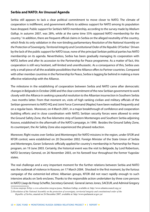### **Serbia and NATO: An Unusual Agenda**

Serbia still appears to lack a clear political commitment to move closer to NATO. The climate of cooperation is indifferent, and government efforts to address support for NATO among its population have dropped. Public support for Serbia's NATO membership, according to the survey made by *Medium Gallup*, in autumn 2007, was 28%, while at the same time 55% opposed NATO membership for the country.<sup>1</sup> In addition, there are frequent official claims in Serbia on the alleged neutrality of the country, which finds its only validation in the non-binding parliamentary *Resolution of the National Assembly on*  the Protection of Sovereignty, Territorial Integrity and Constitutional Order of the Republic Of Serbia.<sup>2</sup> Driven by the lack of the public support for NATO issue, none of the principal Serbian political parties has NATO membership on its agenda. Nevertheless, Serbia has been gradually managing its cooperation with NATO, before and after its accession to the Partnership for Peace programme. As a matter of fact, this cooperation is still very hesitant, self-limited and unenthusiastic. As a consequence of this, Serbia uses only a small piece of all the available possibilities that the Alliance offers to Partner countries. Compared with other member countries in the Partnership for Peace, Serbia is lagging far behind in making a more effective relationship with the Alliance.

The milestone in the establishing of cooperation between Serbia and NATO came after democratic changes in Belgrade in October 2000 and the clear commitment of the new Serbian government to work closely with the Alliance in seeking a peaceful resolution to the Albanian insurrection in Southern Serbia , two months latter. From that moment on, visits of high ranking civilian and military officials of the Serbian government to NATO HQ and Joint Force Command (Naples) have been realized frequently and on a regular basis. Moreover, on 4 March 2001, in a major breakthrough of confidence and cooperation building efforts and in close coordination with NATO, Serbian security forces were allowed to enter the Ground Safety Zone, the five-kilometre strip of Eastern Montenegro and Southern Serbia adjoining Kosovo, established in the aftermath of the NATO campaign, in 1999. Besides the Ground Safety Zone, its counterpart, the Air Safety Zone also experienced the phased reduction.

Moreover, flight routes over Serbia (and Montenegro) for NATO missions in the region, under SFOR and KFOR control, were established on 20 December 2002. Foreign Minister of the State Union of Serbia and Montenegro, Goran Svilanovic officially applied for country's membership in Partnership for Peace program, on 19 June 2003. Certainly, the historical event was the visit to Belgrade, by Lord Robertson, NATO Secretary General, on 26 November 2003, on his farewell tour throughout the former Yugoslav states.

The real challenge and a very important moment for the further relations between Serbia and NATO was the outbreak of violence in Kosovo, on 17 March 2004. Shocked in the first moment, by the furious campaign of the extremist-led ethnic Albanian groups, KFOR did not react rapidly enough to such intensive attacks on Serb enclaves. Thanks to the responsible action undertaken by three core persons in NATO (Jaap de Hoop Scheffer, Secretary General; General James Jones, SACEUR, and Admiral Gregory

<sup>1)</sup> *Javno mnjenje Srbije o evro-atlantskim integracijama*, Medium Gallup, available at: http://www.atlanticcouncil.org.yu/

<sup>2)</sup> *Resolution of the National Assembly on the protection of sovereignty, territorial integrity and constitutional order of the Republic of Serbia*, enacted on 26 December 2007, available at: http://www.parlament.sr.gov.yu/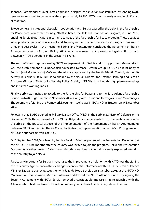Johnson, Commander of Joint Force Command in Naples) the situation was stabilized, by sending NATO reserve forces, as reinforcements of the approximately 18,500 NATO troops already operating in Kosovo at that time.

To overcome an institutional obstacle in cooperation with Serbia, caused by the delay in the Partnership for Peace accession of the country, NATO initiated the Tailored Cooperation Program, in June 2003, enabling Serbia to participate in certain activities of the Partnership for Peace program. These activities were predominantly of educational and training nature. Tailored Cooperation Program has run in three one-year cycles. In the meantime, Serbia (and Montenegro) concluded the Agreement on Transit Arrangements with NATO, on 18 July 2005, which was meant to improve the logistical flow to and between NATO's operations in the Western Balkans.

The most efficient step concerning NATO engagement with Serbia and its support to defence reform was the establishment of a Norwegian-advocated Defence Reform Group (DRG), as a joint body of Serbian (and Montenegrin) MoD and the Alliance, approved by the North Atlantic Council, starting its activity in February 2006. DRG is co-chaired by the NATO's Director for Defence Planning, and Serbian Assistant Minster of Defence for Security Policy. Activity of DRG is organized through plenary meetings and in sixteen Working Tables.

Finally, Serbia was invited to accede to the Partnership for Peace and to the Euro-Atlantic Partnership Council, in NATO Riga Summit, in November 2006, along with Bosnia and Herzegovina and Montenegro. The ceremony of signing the Framework Document, took place in NATO HQ, in Brussels, on 14 December 2006.

Following that, NATO opened its Military Liaison Office (MLO) in the Serbian Ministry of Defence, on 18 December 2006. The mission of NATO's MLO in Belgrade is to serve as a link with the military authorities of Serbia on the practical aspects of the implementation of the Agreement on Transit Arrangements between NATO and Serbia. The MLO also facilitates the implementation of Serbia's PfP program with NATO and support activities of DRG.

On 5 September 2007, Vuk Jeremic, Serbia's Foreign Minister, presented the Presentation Document, at the NATO HQ, nine months after the country was invited to join the program. Unlike the Presentation Documents of other Western Balkan countries, this one does not contain a clearly expressed intention of the country to join NATO.

Particularly important for Serbia, in regards to the improvement of relations with NATO, was the signing of the Security Agreement on the exchange of confidential information with NATO, by Serbian Defence Minister, Dragan Sutanovac, together with Jaap de Hoop Schefer, on 1 October 2008, at the NATO HQ. Moreover, on this occasion, Minister Sutanovac addressed the North Atlantic Council. By signing the Security Agreement with NATO, Serbia removed a considerable impasse in its relationship with the Alliance, which had burdened a formal and more dynamic Euro-Atlantic integration of Serbia.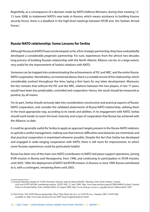Regretfully, as a consequence of a decision made by NATO Defense Ministers, during their meeting 12- 13 June 2008, to implement NATO's new tasks in Kosovo, which means assistance to building Kosovo security forces, there is a deadlock in the high-level meetings between KFOR and the Serbian Armed Forces.1

### **Russia-NATO relationship: Some Lessons for Serbia**

Although Russia and NATO have not developed, so far, a firm *strategic* partnership, they have undoubtedly developed a considerable *pragmatic* partnership. For sure, experiences from the almost two decades long process of building Russian relationship with the North Atlantic Alliance can be, to a large extent, very useful for the improvement of Serbia's relations with NATO.

Someone can be trapped into underestimating the achievements of PJC and NRC, and the entire Russia-NATO cooperation. Nonetheless, as mentioned above, there is a notable record of this relationship, which considerably evolved throughout the time, laying a firm basis for any latter development. Moreover, the fact remains that without the PJC and the NRC, relations between the two players, in last 17 years, would have been less predictable, controlled and cooperative. Hence, the result should be measured as positive, by all means.

For its part, Serbia should seriously take into consideration constructive and practical aspects of Russia-NATO cooperation, and consider the validated attainments of Russia-NATO relationship, utilizing them in the most appropriate way, according to its needs and abilities. In its engagement with NATO, Serbia should work harder to reach the level, intensity and scope of cooperation that Russia has achieved with the Alliance, to date.

It could be generally useful for Serbia to apply an approach largely present in the Russia-NATO relations: to uphold a careful management, making sure that intrinsic difficulties and obstacles are minimized, and that practical cooperation is maximized wherever possible. Despite the fact that Serbia has developed and engaged in wide-ranging cooperation with NATO, there is still room for improvement, to which some Russian experiences could be particularly helpful.

Russia has been one of the main non-NATO contributors to NATO-led peace support operations, joining IFOR mission in Bosnia and Herzegovina, from 1996, and continuing its participation in SFOR mission, until 2003.<sup>2</sup> After the deployment of NATO-led KFOR mission, in Kosovo, in June 1999, Russia contributed to it, with a contingent, remaining there until 2003.

<sup>1)</sup> General Opening remarks by NATO Secretary General, Jaap de Hoop Scheffer, Meeting of the North Atlantic Council with non-NATO KFOR contributing nations, NATO HQ, 12 June 2008, http://www.nato.int/docu/speech/2008/s080612a.html; General Ponos in Ground Safety Zone, Serbian MoD, 28 August 2008, http://www.mod.gov.yu/novi\_eng.php?action=fullnews&id=1065

<sup>2)</sup> Paul Fritch, The NATO-Russia partnership: More Than Meets the Eye, in *NATO Review*, Summer 2007, NATO HQ, available at: http://www.nato.int/docu/review/2007/issue2/english/analysis1.html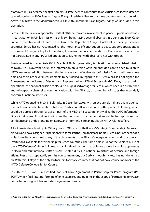Moreover, Russia became the first non-NATO state ever to contribute to an Article 5 collective defence operation, when in 2006, Russian frigate *Pitliviy* joined the Alliance's maritime counter-terrorist operation *Active Endeavour*, in the Mediterranean Sea. In 2007, another Russian frigate, *Ladniy*, was included in this operation.

Serbia still keeps an exceptionally hesitant attitude towards involvement in peace support operations. Its participation in UN-led missions is only symbolic, having several observes in Liberia and Ivory Coast and a six-member medical team in the Democratic Republic of Congo. Unlike all Partnership for Peace countries, Serbia has not recognized yet the importance of contribution to peace support operations as a prominent foreign policy tool. Therefore, it remains the only Partnership for Peace country which has not participated in any NATO-led operation so far, neither with observers, nor with troops.

Russia opened its mission to NATO in March 1998. Ten years latter, Serbia still has no established mission to NATO. On 3 November 2008, the information on Serbian Government's decision to open mission to NATO was released.<sup>1</sup> But, between this initial step and effective start of mission's work will pass some time and there are several requirements to be fulfilled. In regard to this, Serbia has still not signed the Agreement on the Status of Missions and Representatives of Third States to NATO. Delay in the making operational the national mission to NATO is a huge disadvantage for Serbia, which needs an established and full-capacity channel of communication with the Alliance, on a number of issues that essentially concern its national interests.

While NATO opened its MLO, in Belgrade, in December 2006, with an exclusively military affairs agenda, the particularly delicate relations between Serbia and Alliance require better public diplomacy, which could be pursued through a civilian part of the MLO, or a separate entity alike the NATO Information Office in Moscow. As well as in Moscow, the purpose of such an effort would be to improve mutual confidence and understanding on NATO, and informing Serbian public on NATO-related affairs.

Albeit Russia already set up its Military Branch Offices at both Alliance's Strategic Commands, in Mons and Norfolk, and have assigned its personnel to some Partnership for Peace bodies, Serbia has not seconded so far its military personnel to any of the placements in the Alliance's integrated command structure and institutions, available for Partnership for Peace countries. The same holds true for the Senior Course at the NATO Defense College, in Rome. It is a high-level six month excellence course for senior appointees in NATO and multinational staffs or NATO-related duties in national ministries of defense and foreign affairs. Russia has repeatedly sent its course members, but Serbia, though invited, has not done it so far. With this, it stays as the only Partnership for Peace country that has not have course member of the NATO Defense College Senior Course.

In 2007, the Russian Duma ratified Status of Force Agreement in Partnership for Peace program (PfP SOFA), which facilitates performing of joint exercises and training, in the scope of Partnership for Peace. Serbia has not signed this important agreement thus far.

<sup>1)</sup> Web-site of the Serbian Ministry of Foreign Affairs, 3 November 2008, http://www.mfa.gov.yu/Bilteni/Engleski/b031108\_e.html#N2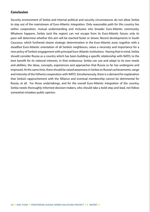### **Conclusion**

Security environment of Serbia and internal political and security circumstances do not allow Serbia to stay out of the mainstream of Euro-Atlantic integration. Only reasonable path for this country lies within cooperation, mutual understanding and inclusion into broader Euro-Atlantic community. Whatever happens, Serbia (and the region) can not escape from its Euro-Atlantic future; only its pace will determine whether this aim will be reached faster or slower. Recent developments in South Caucasus, which furthered clearer strategic determination in the Euro-Atlantic zone, together with a steadfast Euro-Atlantic orientation of all Serbia's neighbours, raises a necessity and importance for a new policy of Serbia's engagement with principal Euro-Atlantic institutions. Having that in mind, Serbia should consider Russia as a country which has been building a specific relationship with NATO, to the best benefit for its national interests. In that endeavour, Serbia can use and adapt to its own needs and abilities, the ideas, concepts, experiences and approaches that Russia so far has undergone and improved. At the same time, there should be raised awareness in Serbia on Russia's achievements, range and intensity of the hitherto cooperation with NATO. Simultaneously, there is a demand for explanation that Serbia's rapprochement with the Alliance and eventual membership cannot be detrimental for Russia, at all. For those undertakings, and for the overall Euro-Atlantic integration of the country, Serbia needs thoroughly informed decision-makers, who should take a bold step and lead, not follow somewhat mistaken public opinion.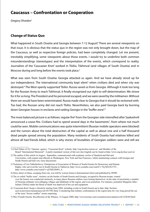### **Caucasus – Confrontation or Cooperation**

*Gregory Shvedov1*

### **Change of Status Quo**

What happened in South Ossetia and Georgia between 7-12 August? There are several viewpoints on that issue. It is obvious that the status quo in the region was not only brought down, but the map of the Caucasus, as well as respective foreign policies, had been completely changed. Let me present, inevitably simplifying, some viewpoints about those events. I would try to underline both common misunderstandings (stereotypes) and the interpretation of the events, which correspond to reality. Journalists of the 'Caucasian Knot' worked in Tbilisi, Tskhinval (and villages of South Ossetia) and in Moscow during and long before the events took place.<sup>2</sup>

What was seen from South Ossetia: Georgia attacked us again. And we have already stood up for our independence. The international community kept silent<sup>3</sup> when civilians died and when city was destroyed.4 The West openly supported Tbilisi. Russia saved us from Georgia. Although it took too long for the Russian Army to reach Tskhinval, it finally recognized our right to self-determination. We strove for it for so long. The President and his personnel escaped, and we were saved by the militiamen. Without them we would have been exterminated. Russia made clear to Georgia that it should be reckoned with. Too bad, the Russian army did not reach Tbilisi. Nevertheless, we also paid Georgia back by burning down Georgian houses in enclaves and raiding Georgia in the "buffer zone".5

The more balanced picture is as follows: regular fire<sup>6</sup> from the Georgian side intensified after Saakashvili announced a cease-fire. Civilians had to spend several days in the basements<sup>7</sup>, from where not much could be seen. Mobile communications was quite intermittent (Russian mobile operators were blocked) and the rumors about the total destruction of the capital as well as about one and a half thousand dead people spread among the population. Many residents of South Ossetia had relatives killed and almost all had friends killed, which is why stories of brutalities of Georgian soldiers were and still are

<sup>1)</sup> Chief Editor of 24-7 Internet agency, "Caucasian Knot" website: http://eng.kavkaz.memo.ru/ and Member of the Board "International Memorial". A partly translated version of this text into English can be found at http://www.eng.kavkaz-uzel.ru/

<sup>2)</sup> The author of this article in August - September, communicated with academic circles of Stanford and Harvard Universities, with experts and officials in Washington, New York and San Francisco, whilst maintaining contacts with Georgia and South Ossetia and had very close discussions.

<sup>3)</sup> Testimony of Lira Tskhobrebova, Chairperson of Association of Women of South Ossetia for Democracy and Human Rights, who survived the war in South Ossetia in Tskhinval, http://www.youtube.com/watch?v=9iyXELH1YVI , http://www.youtube.com/watch?v=qYDSUHt9O\_A

<sup>4)</sup> Story about civilians, escaping from city, was told by Larissa Sotieva (International Alert) and published by IWPR.

<sup>5)</sup> The so called "buffer zone", territory on the border of South Ossetia and Georgia, occupied by Russian troops; control over the looters was conducted carelessly, in many places Russian soldiers were looting themselves. In the state of uncertainty a number of Ossetian militants were pillaging villages and inhabitant of the region, and even journalists. For instance, journalist Margarita Akhvlediani (Tbilisi) under the threat of death was deprived of her car and equipment.

<sup>6) &#</sup>x27;Caucasian Knot' keeps a chronicle starting from 2004, including events in South Ossetia up to date, http://kavkazuzel.ru/newstext/ourannounce/id/1017941.html. Considering that military confrontation in the region lasts for very long period the use of the term "frozen conflict" seems surprising.

<sup>7)</sup> War if South Ossetia: Recollection of the Witness, 14 August 2008, http://www.kavkaz-uzel.ru/analyticstext/analytics/id/1228369.html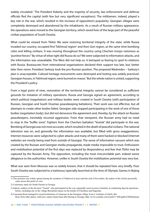widely circulated.<sup>1</sup> The President Kokoity and the majority of security, law enforcement and defense officials fled the capital (with few but very significant exceptions). The militiamen, indeed, played a key role in the war, which resulted in the increase of opposition's popularity. Georgian villages were completely destroyed and abandoned by the inhabitants. As a result of Russian military appearance, the operations were moved to the Georgian territory, which saved lives of the large part of the peaceful civilian population of South Ossetia.

What could be viewed from Tbilisi: We were restoring territorial integrity of the state, while Russia invaded our country, occupied first Tskhinval region<sup>2</sup> and then Gori region, at the same time bombing cities and killing civilians. It was moving throughout the country using Chechen troops notorious as 'punitive forces'.<sup>3</sup> By virtue of what right did Russia do so? We were subjected to information attacks, and the information was unavailable. The West did not help us. It betrayed us fearing to spoil its relations with Russia. Bureaucrats from international organizations declared their support too late, but, better later then never. President Sarkozy took the pro-Russian position. The proposed Medvedev – Sarkozy's plan is unacceptable. Cultural heritage monuments were destroyed and looting was widely practiced. Georgian houses, in Tskhinval region, were burned en masse.<sup>4</sup> But the whole nation is united, supporting the President's policy.

From a legal point of view, restoration of the territorial integrity cannot be considered as sufficient grounds for initiation of military operations. Russia and Georgia signed an agreement, according to which political (negotiation) and military bodies were created in South Ossetia (with participation of Russian, Georgian and South Ossetian peacekeeping battalions). Their work was not effective, but all attempts to create other bodies failed. Georgian side stopped participating in the work of one of those bodies (negotiation body), but did not denounce the agreement and, thereby, by the attack on Russian peacekeepers, inevitably incurred aggression. From that viewpoint, the Russian army had no need to stop in the "buffer zone". Fighters from the Chechen battalion "Vostok" did participate in the war. Bombing of Georgia was not most accurate, which resulted in the death of peaceful civilians. The national television was on, and generally the information was available, but filled with gross exaggerations. Internet resources were subjected to cyber attacks and many of them were hacked or blocked (Internet websites are mostly being read from outside of Georgia). The sense of information vacuum which was created by the Russian and Georgian media propaganda, made media impossible to trust. Enthusiasm and mobilization potential of the first days was replaced by despondency and fear that Tbilisi may be captured by the Russian Army. The opposition, including the most irreconcilable part, indeed swore allegiance to the authorities. However, unlike in South Ossetia the mobilization potential was very low.

What was seen from Moscow was so widely known, that it should be repeated here very briefly. Poor South Ossetia was subjected to a traitorous (specially launched at the time of Olympic Games in Bejing

<sup>1)</sup> This position was widely spread among the residents of Tskhinval at least until the end of November; the author of the Article personally came across this point of view.

<sup>2)</sup> Customary name for South Ossetia in Georgia.

<sup>3)</sup> Indeed, soldiers of the division "Vostok" who participated in the war, repeatedly used excessive brutality in conducting Special operations before, including one in the village Borodzinovskaya on the border of Chechnya and Dagestan.

<sup>4)</sup> Caucasian Knot managed to record testimonies of witnesses in the Georgian village Avnevi, residents of which, like those from other places, until now cannot return back after fleeing to Georgia, http://www.youtube.com/watch?v=HiFugMcYZbE&feature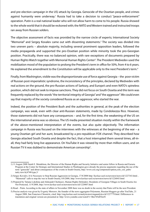and pre-election campaign in the US) attack by Georgia. Genocide of the Ossetian people, and crimes against humanity were underway.<sup>1</sup> Russia had to take a decision to conduct "peace-enforcement" operation. Putin is a real national leader who will not allow harm to come to his people. Russia showed to the whole world that it should be reckoned with; the NATO and Western trained and instructed troops ran away from Russian solders.

The objective assessment of facts was provided by the narrow circle of experts; International Society "Memorial" and Sergey Kovalev came out with dissenting statements.2 The society was divided into two uneven parts – absolute majority, including several prominent opposition leaders, followed the media propaganda and supported the pro-Ossetian position while minority took the pro-Georgian position. Practically, there was no balanced opinion, with rare exceptions of documents prepared by Human Rights Watch together with Memorial Human Rights Center<sup>3</sup>. The President Medvedev used the mobilization mood of the population to prolong the President's term in office for 50%, from 4 to 6 years. He explained the amendment to the Constitution will be applicable only to the next President's term.<sup>4</sup>

Finally, from Washington, visible was the disproportionate use of force against Georgia – the poor victim of Russian post-imperialistic syndrome, the inconsistency of the principles, declared by Medvedev with real actions on the ground, the pro-Russian actions of Sarkozy, and Europe's and even NATO's spineless position, which did not seek to impose sanctions. They did not focus on South Ossetia and this term was frequently replaced by the words "the territorial integrity of Georgia" and "the aggressor". We could even say that majority of the society considered Russia as an aggressor, who started the war.

Indeed, the position of the President Bush and the authorities in general, at the peak of the election campaign, was weak, even with clear anti-Russian statements, made by Condoleezza Rice. However, those statements did not have any consequences – and, for the first time, the weakening of the US on the international arena was so obvious. The US media presented situation mostly within the framework of the above-mentioned interpretation of the events, but also quite objectively. The information campaign in Russia was focused on the interviews with the witnesses at the beginning of the war – a young Ossetian girl and her aunt, broadcasted by a pro-republican FOX channel. They described how Georgia attacked South Ossetia and despite the fact, that a host interrupted them several times, all-inall, they had fairly long live appearance. On YouTube it was viewed by more than million users, and on Russian TV it was dubbed to demonstrate American censorship<sup>5</sup>.

<sup>1) 11</sup> August 2008 Sarah E. Mendelson, the Director of the Human Rights and Security Initiative and senior fellow in Russia and Eurasia Program at the Center for Strategic and International Studies in Washington gave already the precise arguments regarding the use of the term "genocide" and about consequences of the events in South Ossetia, http://www.csis.org/component/option,com\_csis\_pubs/ task,view/id,4748/type,3/

<sup>2)</sup> Sergey Kovalev, It Is Necessary to Stop Russian Aggression in Georgia, 17/8/2008 http://kavkaz-uzel.ru/newstext/news/id/1227343.html , "Memorial" calls to stop the war in South Ossetia, 8/8/2008, http://www.kavkaz-uzel.ru/newstext/news/id/1226843.html

<sup>3)</sup> Prepared by Tatiana Lokshina and Aleksandr Cherkasov, Human Rights Defenders: Residents of Georgian Villages in South Ossetia Are Not Protected, 11/9/2008, http://www.kavkaz-uzel.ru/newstext/news/id/1228807.html

<sup>4)</sup> Read – Putin. According to the state of affairs in November 2008 there was no doubt in the society that Putin will be the next President.

<sup>5)</sup> Precise analysis was given by Evgeniy Morozov, the founder of the news aggregator Polymeme, Russian bloggers go after YouTube, 21 August 2008, San Francisco Chronicle, cited: http://eng.kavkaz-uzel.ru/analyticstext/enganalytics/id/1227779.html. Differences in translation and original version are presented at: http://www.youtube.com/watch?v=Bm745nPZm5I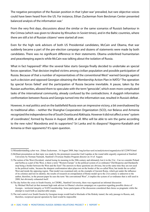The negative perception of the Russian position in that 'cyber-war' prevailed, but rare objective voices could have been heard from the US. For instance, Ethan Zuckerman from Berckman Center presented balanced analysis of the information war.<sup>1</sup>

From the very first days, discussions about the similar or the same scenarios of Russia's behaviour in the Crimea (which was given to Ukraine by Khrushev in Soviet times), and in the Baltic countries, where there are still a lot of Russian citizens<sup>2</sup> were started all over.

Even for the high rank advisors of both US Presidential candidates, McCain and Obama, that war suddenly became a part of the pre-election campaign and dozens of statements were made by both candidates. There was no significant difference in their statements. Obama underlined humanitarian and peacekeeping aspects while McCain was talking about the isolation of Russia.

What in fact happened? After the several false starts Georgia finally decided to undertake an special forces operation. That decision implied victims among civilian population and possible participation of Russia. Because of that a number of representatives of the conventional West<sup>3</sup> warned Georgia against such a decision and opposed Georgian obtaining the Membership Action Plan in NATO.<sup>4</sup> The operation by special forces failed<sup>5</sup> and the participation of Russia became inevitable. A pause, taken by the Russian authorities, allowed them to speculate with the term "genocide", which even more complicated tasks of the international community, already confused by the contradictions. A sluggish information confrontation between Russia and Georgia turned into the information war, resulted in Russia's defeat .

However, in real politics and on the battlefield Russia won an impressive victory, a bit overshadowed by its traditional allies – neither the Shanghai Cooperation Organization (SCO), nor Belarus and Armenia recognized the independence the of South Ossetia and Abkhazia. However it did not affect a new " system of coordinates", formed by Russia in August 2008, at all. Who will be able to win the game according to the new rules? Macedonia and its supporters? Sri Lanka and its diaspora? Nagorno-Karabakh and Armenia or their opponents? It's open question.

<sup>1)</sup> Misunderstanding cyber war , Ethan Zuckerman , 16 August 2008, http://eng.kavkaz-uzel.ru/analyticstext/enganalytics/id/1229078.html

<sup>2)</sup> Brilliant presentation on that topic was made by the prominent researcher Gail Lapidus at the round table urgently organized at Stanford University by Norman Naimark, Stanford's Overseas Studies Program director on 14 of August.

<sup>3)</sup> The notion of the West (Occident) started losing its meaning in the 20th century and ultimately lost it in the 21st . Can we consider Poland and Serbia as a part of the West, is there a term "Western Europe" in the political system of co-ordinates? Did Bosporus and Dardanelle stop being a border between the West and the East? The answers to these questions are obvious, but at the same time they are not used in the political realm, because the sharpest confrontation takes place not on the border of the so-called West, but inside the so-called West and inside the opposing region. That model was examined only on the example of Ancient Rome, which got under the influence of its colonies and lost its identity; the results of research on extrapolation of Rome model up to the 21st century is unknown to the author, therefore, in the present paper he uses the term "the conventional West", it implies the system of co-ordinates that is still used in 2008, but obviously exhausted itself.

<sup>4)</sup> The day before the crisis in South Ossetia, in CDDRL, Stanford University, there was organized an informal discussion by Michael McFaul (at that moment high rank advisor in Obama's election campaign) on a question regarding possible choice of Georgia – territorial integrity or NATO membership. Some participants of the discussion considered that choice as pragmatic while the attempt to reach both as unachievable utopia.

<sup>5)</sup> The real control over South Ossetia by Georgian troops would lead to blockade of the Roksky tunnel, the only passage to Russia, and, therefore, reciprocal special operation by land would be impossible.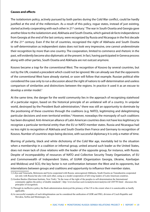### **Causes and effects**

The isolationism policy, actively pursued by both parties during the Cold War conflict, could be hardly justified at the end of the millennium. As a result of this policy, rogue states, instead of just existing, started actively cooperating with each other in 21<sup>st</sup> century.<sup>1</sup> The war in South Ossetia and Georgia gave another blow to the isolationism and, Abkhazia and South Ossetia, which gained *de facto* independence from Georgia at the end of the last century, were recognized by Russia and Nicaragua in the first decade of the 21<sup>st</sup> century. Even if the list of countries, recognized the right of Abkhazia and South Ossetia to self-determination as independent states does not look very impressive, one cannot underestimate their recognition by more than one country. The cooperation, limited to commerce and rhetoric in the past, will evidently become also diplomatic at the present. In fact, having participated in Geneva process along with other parties, South Ossetia and Abkhazia are not outcast anymore.

Kosovo became a trap for the conventional West. The recognition of Kosovo by several countries, but not by the UN, created a precedent which could not be ignored. We can already see that the opponents of the conventional West have already started, or soon will follow that example. Russian political elite considered the case only to run a discussion about the right of nations to self-determination and useless comparison of similarities and distinctions between the regions. In practice it used it as an excuse to develop a similar model.<sup>2</sup>

At the same time, the danger for the world community lies in the approach of recognizing statehood of a particular region, based on the historical principle of an unilateral will of a country. In unipolar world, destroyed by the President Bush administration,<sup>3</sup> there was still an opportunity to dominate by the positioning of these countries through the coalitions (e.g. NATO), legitimizing and delegitimizing particular decisions and even territorial entities.<sup>4</sup> However, nowadays the monopoly of such coalitions has been disrupted. Anti-American alliance of Latin American countries does not have less legitimacy to recognize a particular territorial entity than the EU or NATO member states. Russia and Nicaragua had no less right to recognition of Abkhazia and South Ossetia then France and Germany to recognition of Kosovo. Number of countries stops being decisive, with successful diplomacy it is only a matter of time.

Blurring of polarity, black and white dichotomy of the Cold War age, inevitably led to the situation when a membership in a coalition or informal group, united around such leader as the United States, does not mean lack of close relations with the leader of the opposite group, for instance, with Russia. Despite of incomparability of resources of NATO and Collective Security Treaty Organization, of EU and Commonwealth of Independent States, of GUAM (Organization Georgia, Ukraine, Azerbaijan and Moldova) and SCO, the key factor is not confrontation between the West and its opponents, but interrelations between groups and coalitions and opportunity to influence their member states.

<sup>1)</sup> Libya and Venezuela, Belorussia and Syria cooperated with Russia; unrecognized Abkhazia, South Ossetia an Transdnestria cooperated not only with Russia but also with each other, using as a model cooperation of left-wing leaders of Latin American countries.

<sup>2)</sup> Gordon Bardos (Harriman Institute, New York): "In the issue of the right of the peoples to self-determination the International community applies the policy of double standards", http://www.kavkaz-uzel.ru/analyticstext/analytics/id/1205785.html - discusses the principles of recognition.

<sup>3)</sup> Through its ineffective policy the Bush administration destroyed the primacy of the US to the extent when it is asnoticeable as hardly applicable.

<sup>4)</sup> As successful examples of such delegitimation can be considered the unification of GDR and FRG, division of Czech Republic and Slovakia, Serbia and Montenegro, etc.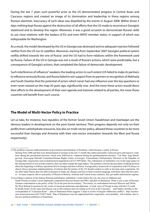During the last 7 years such powerful actor as the US demonstrated progress in Central Asian and Caucasus regions and created an image of its domination and leadership in these regions among Russian alarmists. Inaccuracy of such ideas was dispelled by the events in August 2008. Within those 5 days nothing kept Russia against the destruction of all efforts that the US made to reconstruct Georgia's statehood and to develop this region. Moreover, it was a good occasion to demonstrate Russia's skills to use close relations with the leaders of EU and even NATO member states, in support of which was indisputable for Washington.

As a result, the model developed by the US in Georgia was destroyed and no adequate reaction followed neither from the US nor its satellites. Moreover, starting from September 2007 Georgia's political system swiftly drifted towards the one of Russia<sup>1</sup> and the US had to form relations within the framework used by Russia. Failure of the US in Georgia was not a result of Russia's actions, which were predictable, but a consequence of Georgia's actions, that completed the failure of democratic development.

Such interference of influence<sup>2</sup> weakens the leading actors to such extent (US failed to make its partners to influence seriously Russia, and Russia failed to win support from its partners in recognition of Abkhazia and South Ossetia) that the potential of actors which never had any influence over the key questions or even never existed on the map 20 years ago, significantly rose. And the more these actors would direct their efforts to the development of their own agenda and interests related to all parties, the more those countries will benefit from such course.

### **The Model of Multi-Vector Policy in Practice**

Let us take, for instance, two republics of the former Soviet Union: Kazakhstan and Azerbaijan are the obvious leaders in development on the post-Soviet territory. Their progress depends not only on their profits from carbohydrate resources, but also on multi-vector policy, allowed these countries to be more successful than Georgia and Armenia with their one-vector orientation (towards the West and Russia respectively).

<sup>1)</sup> The problem concerns authoritarianism in government and limitation of freedoms, which became a reality in Russia Starting from 2000 and that were demonstrated in Georgia in the last 11 month (the author personally witnessed gross and massive violations during the presidential elections, which were followed by violations during the parliamentarian elections - Ivar Dale, Aage Borchgrevink, Norwegian Helsinki Committee/Human Rights Centre of Georgia Extraordinary Parliamentary Elections in the Republic of Georgia http://eng.kavkaz-uzel.ru/analyticstext/enganalytics/id/1217495.html). The culmination of similarities was in the legal aspect of the announcement of was in both countries, that was taken outside the legal sphere. The problem concerns the procedure of taking decision about the beginning of military operations first in Georgia and then in Russia. Foreign policy framework of cooperation with US always or almost always presumes implementations of reforms that the partner of the US should conduct in order to develop such cooperation. On the other hand, Russia does not offer its partners to make any changes and tries to find a common language with those elites that have power – in many respects, due to such policy of Russia in Belorus, Armenia and Central Asian countries, they got stable authoritarian regimes.

<sup>2)</sup> According to opinion of the famous Russian politologists, published 2 weeks before the war, the crisis in Abkhazia and South Ossetia revealed a secret diplomatic cooperation between Russia and FRG, and plan of Stainmeier -Putin is just a start of Russian-German confrontation to the policy of the US on the post-Soviet territory. "Previously, in confrontation between Moscow and Tbilisi the West defined its position by the words of American politicians and diplomats. A weak voice of Europe in duet with the US could be hardly heard. At the same time Russia was in full isolation and was acting on its own in the Caucasus" – said Andrey Serenko to the correspondent of "Caucasian Knot" – plan of Stainmeier-Putin suggests 3 steps to resolve Georgian-Abkhazian conflict", http://kavkazuzel.ru/newstext/news/id/1225857.html . Plan of Stainmeier was not implemented but cooperation, most probably will continue, due to the new political ambitions of Stainmeier.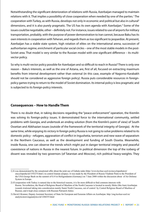Notwithstanding the significant deterioration of relations with Russia, Azerbaijan managed to maintain relations with it. That implies a possibility of close cooperation when needed by one of the parties.<sup>1</sup> The cooperation with Turkey, as with Russia, develops not only in economic and political but also in cultural2 dimensions, and it is also purely pragmatic. The US has its own agenda with Azerbaijan.<sup>3</sup> Some of the issues could be negotiable, other – definitely not. For instance, issues related to use of airports for military transportation, probably, with the purpose of power demonstration to Iran cannot, because Baku has its own interests in cooperation with Teheran, and regards them as too significant to jeopardize. At present, Azerbaijan has a stable state system, high rotation of elites on the international arena, succession of authoritarian regime, enrichment of particular social circles – one of the most stable models in the post-Soviet area. That model is very similar to the Russian model with one significant difference – its multivector policy.

So why is multi-vector policy possible for Azerbaijan and so difficult to reach in Russia? There is only one reason – Baku's interests, as well as the one of Astana, are, first of all, focused on extracting maximum benefits from internal development rather than external (in this case, example of Nagorno-Karabakh should not be considered as aggressive foreign policy). Russia puts considerable resources in foreignpolicy games trying to return to the model of Soviet domination. Its internal policy is less pragmatic and is subjected to its foreign-policy interests.

### **Consequences – How to Handle Them**

There is no doubt that, in taking decisions regarding the "peace-enforcement" operation, the Kremlin was solving its foreign-policy issues. It demonstrated force to the international community, settled problems with Georgia, and undertook an ending solution (from the Kremlin's point of view) of South Ossetian and Abkhazian issues (outside of the framework of the territorial integrity of Georgia). At the same time, while enjoying its victory in foreign policy Russia is not going to solve problems related to its domestic policy - refugees, aggravation of conflict in Ingushetia, terrorism and new wave of separatism in the Northern Caucasus, as well as the development and funding of South Ossetia. Meanwhile, inside Russia, one can observe the trends which might put in danger territorial integrity and peaceful coexistence of nations in Russia in the nearest future. In political dimension the top of the iceberg of dissent was revealed by two governors (of Tatarstan and Moscow), rich political heavy-weights. They

<sup>1)</sup> It was demonstrated by the sensational offer about the joint use of Gabala radar (http://www.kavkaz-uzel.ru/encyclopediatext/ encyclopedia/id/1193275.html ) to control Iranian airspace. It was made by the President of Russia Vladimir Putin to the President of the USA George Bush on the summit of G-8 in Heiligendamm (Germany) on 7 June 2008 within the discussion about of Air Defense System in Europe.

<sup>2)</sup> If cooperation with Turkey is natural due to the historical reasons, it is far more difficult to find common interests with Russia. Nevertheless, the Head of Religious Board of Muslims of the North Caucasus is located in mostly Shiite (like Iran) Azerbaijan (sounds irrational taking into consideration mainly Sunni North Caucasus, out of control by Central Religious Board of Muslims of Russia), and it kept close contacts with Russian Patriarch Aleksi.

<sup>3)</sup> David J.Kramer, Deputy Assistant Secretary of State for European and Eurasian Affairs on Azerbaijan. http://eng.kavkaz-uzel.ru/ analyticstext/enganalytics/id/1204355.html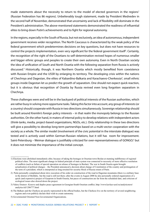made statements about the necessity to return to the model of elected governors in the regions<sup>1</sup> (Russian Federation has 86 regions). Unbelievably tough statement, made by President Medvedev in the second half of November, demonstrated that uncertainty and lack of flexibility still dominate in the President's administration. The above-mentioned statements demonstrated the readiness of influential elites to bring down Putin's achievements and to fight for regional autonomy.

In the regions, especially in the South of Russia, but not exclusively, an idea of autonomous, independent government receives wider recognition. The North Caucasus is characterized by the weak policy of the federal government which predetermines decisions on key questions, but does not have resources to control the projects implementation, even very significant for the federal government itself<sup>2</sup>. Certainly, the recognition of the right of the Ossetians to self-determination revived hopes of numerous smaller and bigger ethnic groups and peoples to create their own autonomy. Even in North Ossetian society the idea of unification of South and North Ossetia with the following separation from Russia is actively discussed.<sup>3</sup> Historically, though, it was Northern Ossetia which mostly benefited from coexistence with Russian Empire and the USSR by enlarging its territory. The developing crisis within the nations of Chechnya and Dagestan, the elites of Kabardino-Balkaria and Karachaevo-Cherkessia<sup>4</sup>, small ethnic groups inside Dagestan let us predict the growth of separatism. One should not expect quick reaction, but it is obvious that recognition of Ossetia by Russia revived even long forgotten separatism in Chechnya.

These challenges were and will be in the backyard of political interests of the Russian authorities, which are rather busy in solving more opportune tasks. Taking this factor into account, any group of interests (or a country) should cooperate with Russia in two directions simultaneously. Sovereign relationship should be built around Kremlin's foreign policy interests – in that realm the monopoly belongs to the Russian authorities. On the other hand, in maters of internal policy to develop relations with independent actors (think-tanks, media, project-based organizations, NGOs, etc.). Only relationship in these two directions will give a possibility to develop long-term partnerships based on a multi-vector cooperation with the society as a whole. The similar model (involvement of the civic potential in the interstate dialogue) was tested and is actively used within German-Russian relations, but it still has room for improvement. Saint-Petersburg – Weimar dialogue is justifiably criticized for over-representativeness of GONGO;<sup>5</sup> but it does not minimize the importance of the initial concept.

<sup>1)</sup> Elections were abolished immediately after, because of taking the hostages in Ossetian town Beslan at stunning indifference of regional political elites. The most significant change in federal principle of state system was connected to necessity of more effective resolution of conflicts (such as failure of special operation on release of hostages in Beslan). The war in South Ossetia again brought actualization of political changes – the President announced a decision about change of Constitution of the country and prolongation of the term of a president, which is interpreted as long-awaited for security block of Russia return of Putin.

<sup>2)</sup> Putin personally complained about slow execution of his order on construction of the road in Dagestan mountains (there is a military base in the district of Botlikh), but the road is still not there; after the events in August 2008 he also personally ordered organization of a quick (and expensive) project of Gazprom in South Ossetia, but paces of construction are far from the scheduled date, and criticism of ecological issues also slowed down the project.

<sup>3)</sup> Valery Dzutsev: Kosovo and duplex peace agreement in Georgian-South Ossetian conflict, http://www.kavkaz-uzel.ru/analyticstext/ analytics/id/1206777.html

<sup>4)</sup> The Balkars and the Cherkess are poorly represented in the official bodies, but the Cherkess live on the territory of several neighboring regions and even publicly declare their wish to create autonomy.

<sup>5)</sup> Governmental Oriented Non-Governmental Organizations.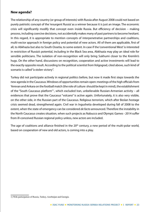### **New agenda?**

The relationship of any country (or group of interests) with Russia after August 2008 could not based on purely patriotic concept of the 'resurgent Russia' as a winner because it is just an image. The economic crisis will significantly modify that concept even inside Russia. But efficiency of decision – making process, including coercive decisions, not accidentally makes many of past partners to become hesitant. In this regard, it is appropriate to mention concepts of interpenetrative partnerships and coalitions, multi-vector approach in foreign policy and potential of new actors. All of them are applicable, first of all, to Abkhazia but also to South Ossetia, to some extent. In case if the 'conventional West' is interested in restriction of Russia's potential, including in the Black Sea area, Abkhazia may play an ideal role for sensible politicians. The isolation of non-recognition will only bring Sukhumi closer to the Kremlin's hugs. On the other hand, discussions on recognition, cooperation and active investments will lead to the exactly opposite result. According to the political scientist from Volgograd, cited above, such kind of scenario is called "a stolen victory".

Turkey did not participate actively in regional politics before, but now it made first steps towards the new agenda in the Caucasus. Windows of opportunities remain open: meetings of the high officials from Yerevan and Ankara on the football match (the role of culture should be kept in mind), the establishment of the "South Caucasus platform"<sup>1</sup>, which excluded Iran, unbelievable Russian-Armenian activity – all evidences that prove that the Caucasus "volcano" is active again. Unfortunately, it is also very visible, on the other side, in the Russian part of the Caucasus. Religious terrorism, which after Beslan hostage crisis seemed dead, strengthened again. Civil war in Ingushetia developed during fall of 2008 to the extent, when the state of emergency can be considered *de facto* announced. Therefore the instability in the North Caucasus creates situation, when such projects as Nabucco and Olympic Games - 2014 suffer from ill-conceived Russian regional policy unless, new actors are included.

The age of coalitions and alliance finished in the  $20<sup>th</sup>$  century, a new period of the multi-polar world, based on cooperation of new and old actors, is coming into a play.

<sup>1)</sup> With participation of Russia, Turkey, Azerbaijan and Georgia.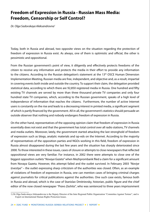### **Freedom of Expression in Russia - Russian Mass Media: Freedom, Censorship or Self Control?**

*Dr. Olga Sadovskaya Aleksandrovna1*

Today, both in Russia and abroad, two opposite views on the situation regarding the protection of freedom of expression in Russia exist. As always, one of them is optimistic and official, the other is pessimistic and oppositional.

From the Russian government's point of view, it diligently and effectively protects freedoms of the citizen to receive any information and protects the media in their effort to provide any information to the citizens. According to the Russian delegation's statement at the 13<sup>th</sup> OSCE Human Dimension Implementation Meeting, Russian media are free, independent, and objective and, as a result, impartial in covering events both inside and outside the country. To support their claim, the delegation provided statistical data, according to which there are 92,850 registered media in Russia. One hundred and fifty existing TV channels are served by more than three thousand private TV companies and only four hundred state TV companies, which, according to the Russian government, speaks of a high level of independence of information that reaches the citizens. Furthermore, the number of active Internet users is constantly on the rise and leads to a decreasing interest in printed media, a significant segment of which is partly financed by the government. All in all, the government's statistics should persuade an outside observer that nothing and nobody endangers freedom of expression in Russia.

On the other hand, representatives of the opposing opinion claim that freedom of expression in Russia essentially does not exist and that the government has total control over all radio stations, TV channels and media outlets. Moreover, lately, the government started attacking the last stronghold of freedom of expression such as blogs, analytic materials and op-eds on the Internet. According to the majority of representatives of the opposition parties and NGOs working in this field, freedom of expression in Russia almost disappeared during the last few years and the situation has sharply deteriorated since 2000. To those interested in these issues, cases of closure or attempts to close newspapers that reflected oppositional views are very familiar. For instance, in 2002 there were attempts to close one of the biggest opposition outlets "*Novaya Gazeta"* when Mezhprombank filed a claim for a significant amount from Novaya Gazeta. However, this attempt failed and the outlet survived. In February 2003 *"Noviye Izvestiya"* – the outlet expressing sharp criticizism of the authorities was closed. Often, as an example of violations of freedom of expression in Russia, one can mention cases of bringing criminal charges against journalists for critical publications against the authorities. One such case exists, famous both in Russia and abroad, which is the case of Stanislav Dmitrievsky, historian, public figure and the chief editor of the now closed newspaper *"Pravo Zashita"*, who was sentenced to three years imprisonment

<sup>1)</sup> Dr Olga Sadovskaya Aleksandrovna is the Deputy Director of the Inter Regional Public Organization "Committee Against Torture", and is Expert on International Human Rights Protection Issues.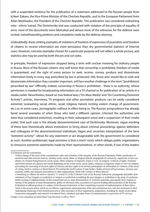with a suspended sentence for the publication of a statement addressed to the Russian people from Ichkeri Zakaev, the Vice-Prime Minister of the Chechen Republic, and to the European Parliament from Aslan Maskhadov, the President of the Chechen Republic. This publication was considered unleashing inter - ethnic hatred. The Dmitrievsky trial was conducted with violation of the principle of equality of arms, most of the documents were fabricated and almost none of the witnesses for the defense were invited, notwithstanding petitions and complaints made by the defense attorney.

Undoubtedly, these striking examples of violations of freedom of expression of journalists and freedom of citizens to receive information are more persuasive than dry governmental statistics of Internet users. However, concrete examples chosen for a particular purpose will not reflect a whole picture, and statistics also may be used by both the *pro* and *con* sides.

In principle, freedom of expression stopped being a term with unclear meaning for ordinary people in Russia. Most of the Russian citizens very well know that censorship is prohibited, freedom of media is guaranteed, and the right of every person to seek, receive, convey, produce and disseminate information freely in every way prescribed by law is protected. Still, those who would like to seek and disseminate information they consider important, will face another challenge in the term "[prohibition] prescribed by law". Officially, indeed, censorship in Russia is prohibited – there is no authority, whose permission is needed for broadcasting information on a TV channel or for publication of an article in a media outlet. Nevertheless, based on two federal laws ("On Mass Media" and "On Countering Extremist Activity") articles, interviews, TV programs and other journalistic products can be easily considered extremist (unleashing social, ethnic, racial, religious hatred, inciting violent change of government, etc.) or, in some cases, pornographic without in effect being so. The Russian jurisprudence has already faced several examples of when those who held a different opinion criticized the authorities and were thus considered extremists, resulting in their subsequent arrest and a suspension of their media outlet. One such case is the already abovementioned case of Dmitrievsky. Moreover, vague wording of these laws theoretically allows institutions to bring about criminal proceedings against defenders and colleagues of the abovementioned individuals. Vague and uncertain interpretation of the term "extremist activity"<sup>1</sup> allows for any statement or act disagreeable with the government to considered as such. Another problematic legal provision is that a norm<sup>2</sup> exists which obliges public organizations to renounce extremist statements made by their representatives. In other words, if one of the leaders

2) http://www.consultant.ru/online/base/?req=doc;base=LAW;n=76617

<sup>1)</sup> Extremist activity (extremism)

Violent change of the basis of the constitutional order and violations of the integrity of the Russian Federation; Public justification of terrorism and other terrorist activity; inciting social, racial, ethnic or religious hatred; propaganda of exclusivity, superiority or less worthiness of a human being based on social, racial, ethnic religious or linguistic origin or view on religion; violation of rights, freedoms and lawful interest of a person and citizen depending on his or her social, racial, ethnic, religious or linguistic origin or view on religion; preventing the exercising of election rights of citizens and their rights to be elected, participation in referendum or violation of the secret of voting, lined to violence or threat thereof; Preventing the lawful action of state bodies, bodies of local self governance, election commissions, public and religious associations or other organizations, lined with violence or threat thereof;

Committing an offence on motives stated in "e" article 63 of the Criminal Code of the Russian Federation; propaganda and public demonstration of Nazi insignia or symbolism or insignia or symbolism resembling the nazi insignia or symbolism to the point of confusion; public inciting to implementation of abovementioned acts or mass dissemination of extremist materials, and equally their creation or storing of the purpose of mass dissemination; public or obviously false accusation of a person holding official position of the Russian Federation or official position of a subject of the Russian Federation, in their committing in period of implementation of their duties listed in the present article which are an offence; organization and preparation of the abovementioned acts; and also incitement to their undertaking; financing of abovementioned acts or other assistance in their organization, preparation, including by means of providing instructions polygraphic and material or technical basis, telephone and other forms of communication or provision of IT services;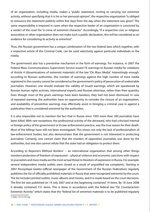of an organization, including media, makes a "public statement, inciting to carrying out extremist activity, without specifying that it is his or her personal opinion", the respective organization "is obliged to renounce the statement publicly within five days from the day when the statement was given". The same responsibility is imposed in cases when the respective leader of an organization is convicted by a verdict of the court for "a crime of extremist character". Accordingly, "if a respective civic or religious association or other organization does not make such a public declaration, this will be considered as an evidence for considering its activity as extremist".

Thus, the Russian government has a unique combination of the two federal laws which together, with a respective article of the Criminal Code, can be used selectively against particular individuals or the media.

The government also has a preventive mechanism in the form of warnings. For instance, in 2007 the Federal Mass Communications Supervision Service issued 74 warnings to Russian media for violations of Article 4 (disseminations of extremist materials) of the law "On Mass Media". Interestingly enough, according to Russian authorities, this number of warnings against the high number of mass media registered in the country cannot be considered as the government's policy of persecution of undesirable journalists. However, one should evaluate the validity of issued warnings, which are questioned by Russian human rights activists, international experts and Russian attorneys, rather than their quantity. Even though most of the given warnings have been baseless, they had not been dismissed. In case of repeated warning, the authorities have an opportunity to consider the closure of an organization, and availability of preventive warnings may effectively assist in bringing a criminal case in against a publication that is considered extremist by the authorities.

It is also impossible not to mention the fact that in Russia since 1993 more than 200 journalists have been killed. With rare exceptions, the professional activity of the deceased, who had criticized internal or foreign policy of the government or its law-enforcement practice, was the true reason for their death. Most of the killings have still not been investigated. This shows not only the lack of professionalism of law-enforcement bodies, but also demonstrates that the government is not interested in protecting journalists. Certainly, one cannot claim that the murders of opposition journalists was done by the authorities, but one also cannot refute that the state had an obligation to protect them.

According to Reporters Without Borders<sup>1</sup> – an international organization that among other things monitors protection of freedom of expression – physical violence and economic sanctions with respect to journalists and mass media are the most actual threat to freedom of expression in Russia. For example, several independent media outlets were closed as a result of unjustified tax complaints. Starting in 2007 *Rossiyskaya Gazeta* (official newspaper of the Government of the Russian Federation) regularly publishes the list of officially prohibited materials in Russia that were recognized extremist by the court. The list includes printed outlets, music albums and movies, and it is made based on the court decisions. The first list was published on 14 July 2007 and at the beginning contained 14 items. By 18 June 2008 it already contained 151 items. This is done in accordance with the federal law "On Counteraction Extremist Activity" which states that the "federal list of extremist materials is to be published regularly

1) http://www.rsf.org/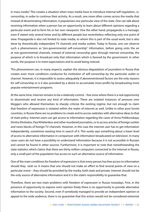in mass media". This creates a situation when mass media have to introduce internal self-regulation, *i.e.* censorship, in order to continue their activity. As a result, one more often comes across the media that instead of disseminating information, it popularizes one particular view of the state. One can talk about receiving information when a person has an opportunity to learn about different opinions regarding a particular event and to form his or her own viewpoint. One the other hand, propaganda is a message, even if stated only several times and by different people but nevertheless reflecting only one point of view. Propaganda is also not limited to state media, to whom this is part of the usual work, but is also done by theoretically independent TV channels and media outlets. Today in Russia, one can observe such a phenomenon as "pro-governmental self-censorship". Information, before going onto the air at non-governmental channels, instead of external censorship goes through internal censorship, the purpose of which is to broadcast only that information which is favored by the government. In other words, the purpose is to meet expectations and to avoid being noticed.

This phenomenon can, in many respects, explain the obvious degradation of journalism in Russia that creates even more conditions conducive for institution of self-censorship by the particular outlet or channel. However, it is impossible to assess adequately if abovementioned factors are the only reasons for self-censorship or is it also provoked by a desire to accumulate more profits by broadcasting more popular entertainment programs.

At the same time, internet remains to be a relatively control – free zone where there is a real opportunity to disseminate and receive any kind of information. There are isolated instances of pressure over bloggers who allowed themselves to sharply criticize the existing regime, but not enough to claim that freedom of expression is violated within the realm of internet as well. Unlike in other post-Soviet countries, in Russia there are no problems to create and to access websites with alternative ideas to that of state policy. Internet users can get access to information regarding the cases of Anna Politkovskaya, Dmitry Kholodov, Paul Khlebnikov and other murdered journalists, or to access articles of foreign outlets and news blocks of foreign TV channels. However, in this case the internet user has to get information independently, sometimes wasting time in search of it. This surely says something about a lower level of access to alternative information in comparison with information broadcasted on television. In many cases users do not have a possibility to understand information because it is not accessible in Russian and cannot be found in other sources. Furthermore, it is important to note that notwithstanding the state statistics which claims that there are thirty million computers connected to the internet in Russia, only a small part of the population has access to such an alternative source of information.

One of the main conditions for freedom of expression is that every person has free access to information should they wish so. It means that one should not make an effort to find several points of view on a particular event – they should be provided by the media, both state and private. Internet should not be the only source of alternative information and it is the state's responsibility to guarantee that.

Therefore, there are two main problems with freedom of expression in Russia nowadays. First, in the presence of opportunity to express one's opinion freely there is no opportunity to provide alternative information to the society. Second, even if somebody managed to provide an independent opinion or appeal to the wide audience, there is no guarantee that this action would not be considered extremist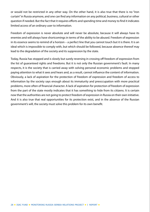or would not be restricted in any other way. On the other hand, it is also true that there is no "iron curtain" in Russia anymore, and one can find any information on any political, business, cultural or other question if needed. But the fact that it requires efforts and spending time and money to find it indicates limited access of an ordinary user to information.

Freedom of expression is never absolute and will never be absolute, because it will always have its enemies and will always have shortcomings in terms of the ability to be abused. Freedom of expression in its essence seems to remind of a horizon – a perfect line that you cannot touch but it is there. It is an ideal which is impossible to comply with, but which should be followed, because absence thereof may lead to the degradation of the society and its suppression by the state.

Today, Russia has stopped and is slowly but surely reversing in crossing off freedom of expression from the list of guaranteed rights and freedoms. But it is not only the Russian government's fault. In many respects, it is the society that is carried away with solving personal economic problems and stopped paying attention to what it sees and hears and, as a result, cannot influence the content of information. Obviously, a lack of aspiration for the protection of freedom of expression and freedom of access to information by the society says enough about its immaturity and preoccupation with more practical problems, more often of financial character. A lack of aspiration for protection of freedom of expression from the part of the state mostly indicates that it has something to hide from its citizens. It is certain now that the authorities are not going to protect freedom of expression in Russia on their own initiative. And it is also true that real opportunities for its protection exist, and in the absence of the Russian government's will, the society must solve this problem for its own benefit.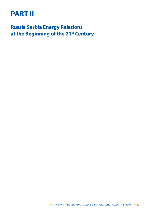# **PART II**

**Russia Serbia Energy Relations at the Beginning of the 21st Century**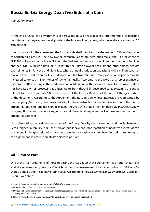### **Russia Serbia Energy Deal: Two Sides of a Coin**

*Anatoly Pomorcev*<sup>1</sup>

At the end of 2008, the governments of Serbia and Russia finally reached, after months of exhausting negotiations, an agreement on all points of the bilateral Energy Deal, which was already signed on 25 January 2008.

In accordance with the agreement, the Russian side shall soon become the owner of 51% of the shares of Serbian oil giant NIS. The new owner, company "Gazprom neft", shall make one – off payment of EUR 400 million for control over NIS, into the Serbian budget, and invest in modernization of facilities another EUR 547 million until 2012. In return, the Russian owner shall, among other things, acquire two refineries in Pančevo and Novi Sad, whose annual production capacity is 4.073 million tones of raw oil.<sup>2</sup> After production facility modernization, the two refineries' total production capacity may be increased to up to 7 million tones of raw oil annually. According to the words of a representative of "Gazprom neft", investing in the modernization of NIS is one of the priorities, since "Gazprom neft" does not have its own oil processing facilities. Apart from that, NIS's developed sales system is of serious interest for the Russian side. $3$  But the essence of the Energy Deal is not the oil, but the gas portion of the document. According to the Agreement, the Russian side, whose interests are represented by the company "Gazprom", bears responsibility for the construction of the Serbian section of the "South Stream" gas pipeline, and gas storage in Banatski Dvor. One should mention that Bulgaria, Greece, Italy, Hungary, Bosnia and Hercegovina, Austria and Slovenia all expressed willingness to join the "South Stream" gas pipeline.

Notwithstanding the positive assessment of the Energy Deal by the government and the Parliament of Serbia, signed in January 2008, the Serbian public saw constant repetition of negative aspects of this document. In the given situation it seems useful to thoroughly examine benefits and shortcomings of this agreement, in order to create its objective portrait.

### **Oil – Related Part**

One of the main arguments of those opposing the realization of this Agreement is a notion that "NIS is sold at a unwarrantedly low price", which rests on the assessment of its market value of 100% of NIS's shares, done by Diloitte agency in June 2008. According to the assessment NIS was worth EUR 2.2 billion on 30 June 2008.4

<sup>1)</sup> *Anatoly Pomorcev is analyst and journalist of RBK Daily from Moscow.*

<sup>2)</sup> NIS official data from 2004, http://www.nis.rs/

<sup>3) 500</sup> gas stations on the teritorry of Serbia and Montenegro, annual turnover of 2.5 million tones of oil derivates – NIS official data from 2004 godine, www.nis.rs

<sup>4)</sup> http://www.media.srbija.sr.gov.yu/medsrp/dokumenti/nis\_izvestaj\_trzisna\_vrednost.pdf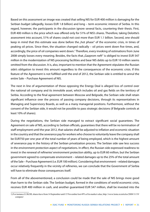Based on this assessment an image was created that selling NIS for EUR 400 million is damaging for the Serbian budget (allegedly, looses EUR 1.8 billion) and long – term economic interest of Serbia. In this regard, however, the participants in the discussion ignore several facts, countering their thesis. First, EUR 400 million is the price which was offered only for 51% of NIS's shares. Therefore, taking Deloitte's assessment into account, 51% of shares could not cost more than EUR 1.1 billion. Second, one should keep in mind that this estimate was done before the "hot phase" of the economic crisis, in times of peaking oil prices. Since then, the situation changed radically – oil prices went down five times, and, accordingly, the price of oil companies went down.<sup>1</sup> Therefore, every invoking of estimations from June 2008 simply looses every meaning. Besides, the facts that "Gazprom neft" is obliged to invest EUR 547 million in the modernization of NIS processing facilities and bear NIS debts up to EUR 10 million seems omitted from the discussion. It is, also, important to mention that the Agreement stipulates the Russian side's obligation to invest this amount regardless to the consequences of the economic crisis. If this feature of the Agreement is not fulfilled until the end of 2012, the Serbian side is entitled to annul the entire Sale – Purchase Agreement of NIS.

The next in line of argumentation of those opposing the Energy Deal is alleged loss of control over the national oil company and its immobile asset, which includes oil and gas fields on the territory of Serbia. According to the final agreement between Moscow and Belgrade, the Serbian side shall retain significant influence over the process of passing company decisions, through its representatives in Managing and Supervisory Boards, as well as a many managerial positions. Furthermore, without the consent of the Serbian side, it would not be possible to pass strategic decisions (if Belgrade controls at least 10% of shares).

During the negotiations, the Serbian side managed to extract significant social guarantees. The Agreement on sale of NIS, according to Serbian officials, guarantees that there will be no termination of staff employment until the year 2012, that salaries shall be adjusted to inflation and economic situation in the country and that the severance pay for workers who choose to voluntarily leave the company shall be EUR750 per one year of the total number of years of being employed, which is the highest amount of severance pay in the history of the Serbian privatization process. The Serbian side saw less success in the environment protection aspect of negotiations. In effect, the Russian side expressed readiness to invest in the renewal of refineries' environment protection ability, up to EUR 60 million, but the Serbian government agreed to compensate environment – related damages up to the 25% of the total amount of the Sale – Purchase Agreement (i.e. EUR 100 million). Considering that environment – related damages occur relatively frequently in the vicinity of refineries, we can conclude that the Government of Serbia will have to eliminate those consequences itself.

From all of the abovementioned, a conclusion could be made that the sale of NIS brings more good than harm to the Serbian side. The Serbian budget, formed in the conditions of world economic crisis, receives EUR 400 million in cash, and another guaranteed EUR 547 million, shall be invested into the

<sup>1)</sup> For instance LUKOIL shares have from 14 September until 15 November lost 49% of its market value, http://www.lenta.ru/articles/2008/11/19/ compare/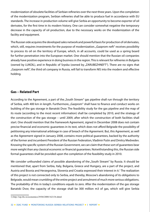modernization of obsolete facilities of Serbian refineries over the next three years. Upon the completion of the modernization program, Serbian refineries shall be able to produce fuel in accordance with EU standards. The increase in production volume will give Serbia an opportunity to become exporter of oil derivates, for the first time in its modern history. One can consider somewhat negative the temporary decrease in the capacity of oil production, due to the necessary works on the modernization of the facility and equipment.

The Russian side acquires the developed sales network and powerful basis for production of oil derivates, which, still, requires investments for the purpose of modernization. "Gazprom neft" receives possibility to process its oil on the territory of Europe, which, in all accounts, could be used as a spring board for further penetration into the European market. One should mention that the Russian oil companies already have positive experience in doing business in the region. This is relevant for refineries in Bulgaria (owned by LUKOIL), and in Republic of Srpska (owned by "ZARUBEZHNEFT"). There are no signs that "Gazprom neft", the third oil company in Russia, will fail to transform NIS into the modern and effective holding.

### **Gas – Related Part**

According to the Agreement, a part of the "South Stream" gas pipeline shall run through the territory of Serbia, with 400 km in length. Furthermore, "Gazprom" shall have to finance and conduct works on building of the gas storage in Banatski Dvor. The feasibility study for the gas pipeline and the map of its route (according to the most recent information) shall be completed by 2010, and the strategy of the construction of the gas storage – until 2009, after which the construction of both facilities shall start. One should mention that the framework Agreement, signed in December 2008 does not contain precise financial and economic guarantees in its text, which does not afford Belgrade the possibility of petitioning any international arbitrage in case of breach of the Agreement. But, this Agreement, as well as the Agreement signed in January 2008, contains more political guarantees, backed by the authority of the former and incumbent President of the Russian Federation, Vladimir Putin and Dmitry Medvedev. Knowing the specific system of the Russian Government, we can claim that these sort of guarantees bear more weight than any classical economic or financial guarantees. Notwithstanding this, the Russian side formal guarantees shall be provided upon the completion of the feasibility study in 2010.

We consider unfounded claims of possible abandoning of the "South Stream" by Russia. It should be mentioned that, apart from Serbia, Italy, Bulgaria, Greece and Hungary, are a part of the project, and Austria and Bosnia and Herzegovina, Slovenia and Croatia expressed their interest in it.<sup>1</sup> The realization of this project is not connected only to Serbia, and thereby, Moscow's abandoning of its obligations to Belgrade, would mean crumbling of the entire project and annulment of much more serious obligations. The probability of this in today's conditions equals to zero. After the modernization of the gas storage Banatski Dvor, the capacity of the storage shall be 300 million m3 of gas, which will give Serbia

<sup>1)</sup> http://top.rbc.ru/economics/29/04/2008/162134.shtml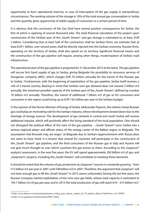opportunity to form operational reserves, in case of interruption of the gas supply in extraordinary circumstances. The working volume of the storage is 10% of the total annual gas consumption in Serbia and this quantity gives opportunity of stable supply of consumers in a certain period of time.

It is obvious that the conclusion of the Gas Deal have several positive consequences for Serbia, the first of which is opening of several thousand jobs. The total financial calculation of the project upon construction of the Serbian part of the "South Stream" and gas storage is estimated to, at least, EUR 2 billion. Considering that at least half of the contractors shall be Serbian firms, we estimate that at least EUR 1 billion, over several years, shall be directly injected into the Serbian economy. Russian firms, operating on the territory of Serbia, shall also spend on its territory significant financial means and the construction of the gas pipeline will require, among other things, modernization of Serbia's road infrastructure.

The operational start of the gas pipeline is projected for 31 December 2015 at the latest. The gas pipeline will secure first hand supply of gas to Serbia, giving Belgrade the possibility to renounce services of Hungarian company "MOL", which charges EUR 70 million annually for the transit of the Russian gas to Serbia.<sup>1</sup> Furthermore, with the beginning of exploitation of the gas pipeline, Serbia itself receives a role of a transit country. Bearing in mind that Serbia's own gas demand does not exceed 3 billion m3 annually, the minimum possible capacity of the Serbian part of the "South Stream", defined by number 10 billion m3 annually. Therefore, the transit of additional 7 billion m3 of gas to EU consumers and consumers in the region could bring up to EUR 150 million per year in the Serbian budget.

In the opinion of the former Minister of Energy of Serbia, Aleksandar Popović, the relative cheep Russian gas could play an motivating role for the Serbian industry, whose development slowed down due to the shortage of energy sources. The development of gas network in central and south Serbia will receive additional impulse, which will positively affect the living standard of the local population. One should not disregard the political effect of the start of the gas pipeline  $-$  "South Stream" turns Serbia into a serious regional player and affords status of the energy center of the Balkan region to Belgrade. The assumption that Brussels may "be angry" at Belgrade due to Serbia's rapprochement with Russia does not seem to have merit: it is known that several EU countries will participate in the construction of the "South Stream" gas pipeline, and the final consumers of the Russian gas in Italy and Austria will not give much thought to over which countries the gas arrives to them. According to the "Gazprom" analysts' assessment, in the next five years, the EU will spend approximately 200 billion m3 of gas, and "Gazprom's" projects, including the "South Stream", will contribute to meeting these demands.

It should be noted that the volume of gas production at "Gazprom" sources is constantly growing - from 512 billion m3 per year in 2001 until 548 billion m3 in 2007. Therefore, the argument that "Gazprom" will not have enough gas to fill the "South Stream" in 2015 seems unfounded. During the last few years, the Russian company started exploitation of the nine new gas fields, whose total capacity is estimated to 195.7 billion m3 of gas per year, and in 2015 the total production of gas will reach 610 – 615 billion m3.2

<sup>1)</sup> http://www.danas.rs/vesti/ekonomija/tranzit\_ruskog\_gasa\_donosi\_zaradu\_od\_70\_miliona\_dolara.4.html?news\_id=148828 2) http://www.gazprom.ru/articles/article20015.shtml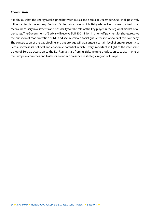### **Conclusion**

It is obvious that the Energy Deal, signed between Russia and Serbia in December 2008, shall positively influence Serbian economy. Serbian Oil Industry, over which Belgrade will not loose control, shall receive necessary investments and possibility to take role of the key player in the regional market of oil derivates. The Government of Serbia will receive EUR 400 million in one – off payment for shares, resolve the question of modernization of NIS and secure certain social guarantees to workers of this company. The construction of the gas pipeline and gas storage will guarantee a certain level of energy security to Serbia, increase its political and economic potential, which is very important in light of the intensified dialog of Serbia's accession to the EU. Russia shall, from its side, acquire production capacity in one of the European countries and foster its economic presence in strategic region of Europe.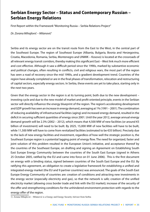### **Serbian Energy Sector – Status and Contemporary Russian – Serbian Energy Relations**

First Report within the Framework "Monitoring Russia – Serbia Relations Project"

*Dr. Zorana Mihajlović – Milanović1*

Serbia and its energy sector are on the transit route from the East to the West, in the central part of the Southeast Europe. The region of Southeast Europe (Albania, Bulgaria, Bosnia and Herzegovina, Croatia, Macedonia, Romania, Serbia, Montenegro and UNMIK – Kosovo) is located at the crossroads of all relevant energy transit corridors, thereby making this significant East – West link much more efficient and cost effective. Although it saw a difficult period since the 1990s, marked by substantive economic and political changes, often resulting in conflicts, civil and religious wars, the most part of the region has seen a road of recovery since the mid 1990s, and a gradient development trend. Countries of the region have already completed or are in the final phases of transformation, relocation and restructuring of capital sectors, especially energy sectors. In Serbia, these events are yet to take place, starting only in the next two years.

Given that the energy sector in the region is at its turning point, both due to the new development – investing cycle and due to the new model of market and profit oriented principle, events in the Serbian sector will directly influence the energy blueprint of the region. The region's accelerating development and GDP growth has seen an increase in energy demand, averaging at 1% (1991 – 2001). The combination of reducing availability of infrastructural facilities (aging) and increased energy demand, resulted in the deficit in securing sufficient quantities of energy since 2001. Until the year 2012, average annual energy demand growth will be 2.3% (2002 – 2012), which means that 4,500 MW of new facilities (or around  $\epsilon$ 5 billion of investment) will need to be built. By 2025, 15,000 MW of new facilities will have to be built, while 11,500 MW will have to come from revitalized facilities (estimated to be €35 billion). Precisely due to the lack of new energy facilities and investment, regardless of how well the strategic position is, the Southeast Europe region is a potential lagging point of energy flow. The need for organized, faster and joint solution of this problem resulted in the European Union's initiative, and acceptance thereof by the countries of the Southeast Europe, on drafting and signing an Agreement on Establishing South East Europe Energy Community between the countries of the South East Europe (signed in Athens 25 October 2005, ratified by the EU and came into force on 01 June 2006). This is the first document on energy with a binding status, signed between countries of the South East Europe and the EU. By ratifying this agreement, an obligation to create a legislative framework for establishing a unified and integrated energy market (the EU and 9 partner countries) was announced. The goals of the South East Europe Energy Community of countries are: creation of conditions and attracting new investments in the energy sector (especially electricity and gas), so that the network is safe; creation of the unified electricity market (allowing cross border trade and link with the EU market); increase of the security of the offer and strengthening conditions for the unhindered environment protection with regards to the energy offer of the region.

1) Zorana Mihajlović – Milanović is a Energy and Energy Security Advisor from Serbia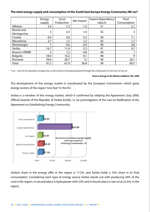### **The total energy supply and consumption of the South East Europe Energy Community (Mt oe)\***

|                           | Energy<br>supply | Local<br>Production | Net Import | Import dependency<br>ratio,% | Final<br>Consumption |
|---------------------------|------------------|---------------------|------------|------------------------------|----------------------|
| Albania                   | 2,4              | 1,2                 | 1,2        | 51                           | 2,1                  |
| Bosnia and<br>Herzegovina | 5                | 3,3                 | 1,6        | 32                           | 3                    |
| Croatia                   | 8,9              | 3,8                 | 5,2        | 58                           | 7,1                  |
| Macedonia                 | 2,7              | 1,5                 | 1,2        | 45                           | 1,7                  |
| Montenegro                |                  | 0,6                 | 0,4        | 40                           | 0,8                  |
| Serbia                    | 16,7             | 11,4                | 5,3        | 41                           | 9,7                  |
| Kosovo-UNMIK              | 2                | 1,2                 | 0,8        | 40                           |                      |
| <b>Bulgaria</b>           | 18,9             | 10,2                | 9,1        | 48                           | 9                    |
| Romania                   | 39,6             | 28,7                | 12         | 30                           | 26,1                 |
| Total                     | 97,2             | 61,9                | 36,8       | 38                           | 60,5                 |

\*t oe – tone of oil equivalent, energy unit, as the amount of energy produced through the combustion of one tone of raw oil.

### *Source: Energy in the Western Balkans, IEA, 2008*

The development of this energy market is coordinated by the European Commission, which gives energy sectors of the region "one foot" in the EU.

Serbia is a member of this energy market, which it confirmed by ratifying the Agreement (July 2006, Official Gazette of the Republic of Serbia 62/06), i.e. by promulgation of the Law on Ratification of the Agreement on Establishing Energy Community.



Serbia's share in the energy offer in the region is 17.2%, and Serbia holds a 16% share in its final consumption. Considering each type of energy source Serbia stands out with producing 30% of the coal in the region. In second place is hydropower with 23% and in fourth place is raw oil at 23.4%, in the region.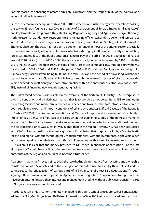For this reason, the challenges before Serbia are significant, and the responsibility of the political and economic elites is increased.

Since the democratic changes in Serbia (2000) little has been done in the energy area. Apart from passing the Law on Energy four years later (2004), Strategy of Development of Serbia's Energy until 2015 (2005) and Implementation Program (2007), establishing Regulatory Agency and Agency for Energy Efficiency, nothing essential was done for restructuring and increasing efficiency. Besides, due to the discrepancies with EU directives, Law on Energy is in the process of being amended and Strategy of Development of Energy is obsolete. The state has not been a good entrepreneur in most of the energy sector, especially in the economic activity of public enterprises, which are still highly inefficient and mostly accumulating losses (estimated loss of the public enterprise "Electric Power of Serbia" for 2008 is 20 billion dinars or around €240 million). From 2000 – 2008 the price of electricity in Serbia increased by 540%, while the salary increases were less than 100%. In spite of that, losses are piling up, consumption is growing (9% for the period 2002 – 2008 and 23% for the period 2008 – 2015) and new facilities are not being built. Capital energy facilities were being built until the mid 1980s and the period of disinvesting, which then started, lasted ever since. Citizens of Serbia have, through the increase in prices of electricity over the years financed the inefficiency and corruptive practice within the enterprise "Electric Power of Serbia" – EPS, instead of financing new electric generating facilities.

The state's failed action is also visible on the example of the Serbian Oil Industry (NIS) enterprise. In order to control oil and oil derivates market, that is to say give an opportunity to NIS to employ its processing facilities and modernize refineries in Pančevo and Novi Sad, the state introduced a Decree in 2001, regulating export and import conditions of oil and oil derivates (Official Gazette of the Republic of Serbia 92/2007). The Decree on Conditions and Manner of Import and Processing of Oil prohibited import of basic derivates of oil, except in cases when the stability of supply of the domestic market is jeopardized, when NIS is allowed to make an emergency import. In order to secure additional funding, the oil-processing price was substantively higher than in the region. Thereby, NIS has been subsidized with €160 million annually for the past eight years. Considering that in spite of all this, NIS today is still "at the beginning", without technologically modern refineries, without investments, eight years older, with a lower quality of oil derivates than those in Europe, and with a need for investments of around €1.2 billion, it is clear that the money provided to NIS ended in channels of corruption. For the last eight years NIS could have built another modern refinery, could have participated as an investor in oil enterprises of the region and could have become a true leader.

Apart from that, in the first years since 2000, the state had no clear strategy of restructuring and ownership transformation of NIS, which lead to the managers of this enterprise, blessed by their political leaders, to undertake the privatization of various parts of NIS by means of direct sale negotiations. Through signing different memos on cooperation, Agreements on Long – Term Cooperation, strategic partners have been putting forward their interest and management tried to, without public eye, transform parts of NIS (in some cases several times over).

In order to resolve this situation, the state managed to, through a tender procedure, select a privatization advisor for NIS (Merrill Lynch and Raiffeisen International AG) in 2005. Although the advisor laid down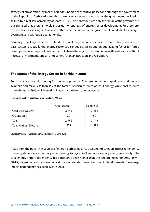strategy of privatization, by means of tender, in three consecutive phases and although the government of the Republic of Serbia adopted this strategy, only several months later, the government decided to sell NIS by direct sale of majority of shares (51%). This behavior is not only the failure of the government, but signaled that there is no clear position or strategy of energy sector development. Furthermore, this has been a clear signal to investors that other decisions by the government could also be changed overnight, and without a clear rationale.

Generally speaking, absence of tenders, direct negotiations, increase in corruption practices in base sectors, especially the energy sector, are serious obstacles and an aggravating factor for future development of energy not only Serbia, but also in the region. The result is an inefficient sector, without necessary investments and an atmosphere for their attraction and realization.

### **The status of the Energy Sector in Serbia in 2008**

Serbia is a country with no big fossil energy potential. The reserves of good quality oil and gas are symbolic and make less than 1% of the total of Serbian reserves of fossil energy, while coal reserves make the other 99%, which are dominated by the low – calories lignite.

### **Reserves of fossil fuels in Serbia, Mt oe**

|                             | Recoverable | Geological |
|-----------------------------|-------------|------------|
| Coal with Kosovo            | 2.741       | 3.883      |
| Oil and Gas                 | 20          | 60         |
| Total                       | 2.761       | 3.943      |
| <b>Total without Kosovo</b> | 773         | 1.091      |

Source: Strategy of Serbia's Energy Development until 2015

Apart from the poverty in sources of energy, Serbia's balance account indicates an increased tendency of energy dependence, both of primary energy (oil, gas, coal) and of secondary energy (electricity). The total energy import dependency has since 2004 been higher than the one projected for 2015 (35.9 – 38.4%, depending on the scenario or slow or accelerated pace of economic development). The energy import dependency has been 42% in 2008.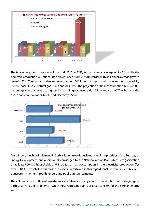

The final energy consumption will rise until 2015 to 22%, with an annual average of 3 – 5%, while the domestic production will effectuate a slower pace (from 20% upwards), with an annual average growth rate of 1.75%. The sectoral balance shows that until 2015 the sharpest rise will be in import of electricity (329%), coal (142%), natural gas (43%) and oil (14%). The projection of final consumption (2015/2006) per energy source shows the highest increase in gas consumption 156% and coal of 77%, but also the rise in consumption of oil (29%) and electricity (22%).



Gas will very much be in demand in Serbia. Its wide use is declared one of the priorities of the Strategy of Energy Development, and operationally envisaged by the National Action Plan, which sets gasification of at least 400,000 households and increase of gas consumption in the electricity production (for over 300%). Precisely for this reason, projects undertaken in this regard must be done in a public and transparent manner through tenders and public announcements.

The vulnerability, insufficient investments, and absence of any control of realizations of strategies gave birth to a myriad of problems – which now represent points of great concern for the Serbian energy sector: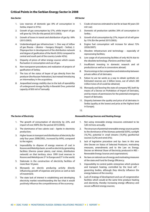### **Critical Points in the Serbian Energy Sector in 2008**

### *Gas Secto*r *Oil Sector*

- 1. Low reserves of domestic gas (9% of consumption in Serbia, import is 91%);
- 2. Growth of gas consumption by 57%, while import of gas will grow by 73% (for the period 2015/2003);
- 3. Growth of losses in transit and distribution of gas by 69% (2015/2003);
- 4. Underdeveloped gas infrastructure: 1. One way of inflow of gas (Russia – Ukraine – Hungary (Horgoš) – Serbia), 2. Disproportion in development of the distribution network and degree of gasification of the North (95%) compared to central and south part of the country (under 45%);
- 5. Disparity of prices of other energy sources which causes fluctuation in consumption and use of gas.
- 6. Non-transparent procedures and realization of projects of gasification of Serbia;
- 7. The loss of the status of buyer of gas directly from the producer (the Russian Federation), but instead introducing an intermediary in the acquisition;
- 8. Jeopardized energy stability due to the lack of operability of underground storage facility in Banatski Dvor, potential capacity of 850 mil m<sup>3</sup>/annually
- 1. Crude oil reserves estimated to last for at least 40 years (50 mil t oe);
- 2. Domestic oil production satisfies 20% of consumption in Serbia ;
- 3. Growth of oil consumption by 27%, import of oil will grow by 15% (for the period 2015/2003);
- 4. Engine fuel consumption will increase for about 72% (2026/2007);
- 5. Obsolete infrastructure and technology especially of reprocessing facilities;
- 6. Low usage of oil processing facilities of only 46.5% due to the obsolete technology. (Pančevo and Novi Sad);
- 7. Insufficient investing in domestic research and oil production as well as in concessions abroad;
- 8. Shortcomings in fair competition and relationship between private sellers of oil derivates;
- 9. Failure to use tar sands as a way to obtain synthetic oil. Estimated reserves are 2 billion tones, out of which 200 million tones of oil could be obtained;
- 10. Monopoly and favoring the state oil company NIS, both by means of a Decree on Prohibition of Import of Derivates, and by means of permissions for the potential emergency import of derivates;
- 11. Disparity between the quality and price of oil derivates in Serbia (quality at the lowest and price at the highest level in Europe);
- 12.

### *The Sector of Electricity Renewable Energy Sources and Heating Energy*

- 1. Not using renewable energy resources estimated to be 3,83 mil tons annually;
	- 2. The structure of potential renewable energy sources points to the dominance of the biomass potential (63%), sunlight (16,7%), potential in small streams (10,4%); geothermal sources (5,2%) and wind (5%);
	- 3. lack of legislative procedure and by- laws in this area (the Decree on Status of Selected Producers, motivating measures, amendments and to the Law on Energy, Decree on Minimal Share of Electricity produced in RES – Renewable Energy Sources and cogeneration);
	- 4. No laws on rational use of energy and motivating measures of the state and Fund for Energy Efficiency;
	- 5. Impossibility to control public enterprises which produce and transport heating, controlled by the local self – governing bodies, although they directly influence the energy balance of the country;
	- 6. Lack of strategy of development and use of congenerative facilities which would at the same time produce heating and electricity, thereby increasing energy efficiency and secure sufficient energy sources;

- 1. The growth of consumption of electricity by 22%, and import of over 400% (for the period 2015/2003);
- 2. The dominance of low calorie coal lignite in electricity production;
- 3. Higher losses in transport and distribution of electricity (for only four years 2008/2002., increased by 64%), compared to the region;
- 4. Impossibility to dispose of energy reserves of coal in Kosovo and Metohija basin, as well as electricity generating facilities (thermo power plants, coal mines, distribution network) on that territory, since 1999 (coal reserves in Kosovo and Metohija are 2<sup>nd</sup> in Europe and 5<sup>th</sup> in the world;
- 5. Stalemate in the construction of electricity facilities of more than 18 years;
- 6. Monopoly on electric producing activity directly influencing growth of expenses and prices as well as lack of investment;
- 7. The state lack of interest in establishing and developing electricity market notwithstanding the fact that it would positively influence the competitiveness of the economy;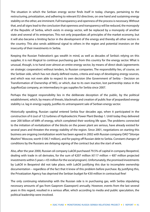The situation in which the Serbian energy sector finds itself in today, changes, pertaining to the restructuring, privatization, and adhering to relevant EU directives, on one hand and sustaining energy stability on the other, are imminent. Full transparency and openness of the process is necessary. Without that, and all signs lead to the conclusion that openness and transparency will be reduced, the monopoly of the Republic of Serbia, which exists in energy sector, will be replaced by a monopoly of another state and several of its enterprises. This not only jeopardizes all principles of the market economy, but it will also became a limiting factor in the development of the energy and thereby all other sectors in the country. This also sends additional signal to others in the region and potential investors on the insecurity of their investments in Serbia.

Keeping the Russian Federation's gas wealth in mind, as well as decades of Serbia's relying on this supplier, it is not illogical to continue purchasing gas from this country for the energy sector. What is unusual, though, is to hand over almost an entire energy sector, by means of direct deals (agreements on strategic cooperation) without tenders, to Russian companies. The responsibility lies, of course, on the Serbian side, which has not clearly defined routes, criteria and ways of developing energy sources, and which was not even able to respect its own decision (the Government of Serbia – Decision on Transformation of Ownership of NIS), or which, due to its own inaction, lost partnership status in the JugoRosGaz company, an intermediary in gas supplies for Serbia since 2007.

Perhaps the biggest responsibility lies in the deliberate deception of the public, by the political establishment, which, by means of threats, blackmails and creation of public fear of jeopardized energy stability i.e. lag in energy supply, justifies its untransparent sale of Serbian energy sector.

Historically speaking, Russian capital entered Serbia four decades ago, when it participated in the construction of 6 (out of 12) turbines of Hydroelectric Power Plant Đerdap 1. Until today they delivered over 200 billion of kWh of energy, which completed their working life span. The problems connected to the initiation of revitalization of the blocks on the power plant are serious, have already existed for several years and threaten the energy stability of the region. Since 2001, negotiations on starting this business are ongoing (revitalization work has been agreed in 2002 with Russian company OAO "Siloviye Mashini" Moscow, worth \$100.7 million), and for paying off Russian debt to Serbia. Constant changes of conditions by the Russians are delaying signing of the contract but also the start of work.

Also, after the year 2000, Russian oil company LukOil purchased 79.5% of capital in company Beopetrol, dealing with trade in oil derivates, for the sum of  $\epsilon$ 207 million ( $\epsilon$ 117 million +  $\epsilon$ 87 million projected investments within 5 years +  $E$ 5 million for the social program). Unfortunately, the promised investments by LukOil in Beopetrol did not take place, with LukOil justifying this due to incomplete ownership documentation – regardless of the fact that it knew of this problem before purchase. By justifying this, the Privatization Agency has deprived the Serbian budget for €30 million in contractual fine!

The only continuing relationship with the Russian side is in purchasing gas, with Serbia stipulating necessary amounts of gas from Gazprom (Gazexport) annually. However, events from the last several years in this regard, resulted in a serious affair, which according to media and public speculation, the political leadership were involved.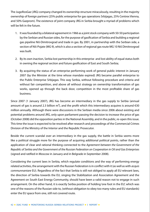The JugoRosGaz (JRG) company changed its ownership structure miraculously, resulting in the majority ownership of foreign partners (25% public enterprise for gas operations Srbijagas, 25% Centrex Vienna, and 50% Gazprom). The existence of joint company JRG in Serbia brought a myriad of problems which will be felt in the future.

- 1. It was founded by a bilateral agreement in 1966 as a joint stock company with 50-50 participation by the Serbian and Russian sides, for the purpose of gasification of Serbia and building a regional gas pipeline Niš-Dimitrovgrad and trade in gas. By 2001, in partnership with the Serbian side, a section of Niš-Pojate (MG 9), which is also a section of regional gas route MG 10 Niš Dimitrovgrad was built.
- 2. By its own inaction, Serbia lost partnership in this enterprise and lost ability of equal status both in owning the regional section and future gasification of East and South Serbia;
- 3. By acquiring the status of an enterprise performing work of general public interest in January 2007 (by the Minister at the time whose mandate expired) JRG became parallel enterprise to the Public Enterprise Srbijagas. This way Serbia, without following procedure and criteria and without fair competition, and above all without strategy on ownership transformation of gas works, opened up through the back door, competition in the most profitable share of gas business.

Since 2007 (1 January 2007), JRG has become an intermediary in the gas supply to Serbia (annual amount of gas is around 2.3 billion m<sup>3</sup>), and the profit which this intermediary acquires is around  $\epsilon$ 30 million annually. Although there were discussions in the Serbian media since 2006 about existing and potential problems around JRG, only upon parliament passing the decision to increase the price of gas (October 2008) did the opposition parties in the National Assembly, and in the public, re-open this issue. This time the issue is expected to be resolved after research and proceedings of the Commercial Crimes Division of the Ministry of the Interior and the Republic Prosecutor.

Beside the current scandal over an intermediary in the gas supply, the battle in Serbia seems more like a political struggle more for the purpose of acquiring additional political points, rather than the application of clear and rational thinking connected to the *Agreement between the Government of the Republic of Serbia and the Government of the Russian Federation on Cooperation in Oil and Gas Enterprises* (signed and ratified in Moscow in January and in Belgrade in September 2008).

Considering the current laws in Serbia, which regulate conditions and the way of performing energy related activities, the arrangement with the Russian Federation is in conflict with it (as well as with *acquis communnantare* EU). Regardless of the fact that Serbia is still not obliged to apply all EU relevant laws, the direction of Serbia towards the EU, singing the Stabilization and Association Agreement and the Agreement on South East Energy Community, should have been a valid reason not to engage in such arrangement. On the other hand, it is exactly Serbia position of holding 'one foot in the EU', which was one of the reasons of the Russian side to, (without obligation to obey too many rules and EU standards) enter the EU space from one, still not covered route.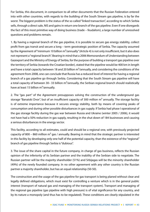For Serbia, this document, in comparison to all other documents that the Russian Federation entered into with other countries, with regards to the building of the South Stream gas pipeline, is by far the worst. The biggest problem is the status of the so called "linked transaction", according to which Serbia sells, through a direct sale, NIS and gains in return one branch of the gas pipeline. Even if one disregards the fact of this most primitive way of doing business (trade – feudalism), a large number of unresolved questions and problems remain.

1. By having a regional branch of the gas pipeline, it is possible to secure gas energy stability, collect profit from gas transit and secure a long – term geostrategic position of Serbia. The capacity assumed by the Agreement of "minimum 10 billion m<sup>2</sup>/annually" (Article 4) is not only insufficient, but it also does not represent a "regional branch". Bearing in mind that a 2006 Memorandum of Understanding between Gazexport and the Ministry of Energy of Serbia, for the purpose of building a transport gas pipeline over the territory of Serbia (towards the Croatian border), stated that the pipeline would be 400 km in length and have a total capacity between 18 and 20 billion  $m^3$ /annually, and considering the conditions of the agreement from 2008, one can conclude that Russia has a reduced level of interest for having a regional branch of a gas pipeline go through Serbia. Considering that the South Stream gas pipeline will have a total capacity of between 30– 33 billion  $m^3$ /annually, the Serbian regional branch should realistically have at least 15 billion  $m^3$ /annually.

2. The "gas part" of the Agreement presupposes solving the construction of the underground gas storage "Banatski Dvor", but of an insufficient capacity of 300 million  $m<sup>3</sup>$  annually. The storage facility is of extreme importance because it secures energy stability, both by means of covering peaks of consumption and during other possible disturbances in gas supply. If Serbia had phase I operational of the gas storage facility during the gas war between Russia and Ukraine (winter 2005 / 2006), it would not have had a 50% reduction in gas supply, resulting in the shut down of 184 businesses and causing a serious disturbances in the energy sector.

This facility, according to all estimates, could and should be a regional one, with previously projected capacity of 800 – 860 million  $m<sup>3</sup>$  gas / annually. Bearing in mind that the strategic partner is interested in this facility by developing only one half of the potential capacity, than the existence of the "regional" branch of gas pipeline through Serbia is "dubious".

3. The issue of the share capital in the future company, in charge of gas business, reflects the Russian opinion of the inferiority of its Serbian partner and the inability of the Serbian side to negotiate. The Russian partner will be the majority shareholder (51%) and Srbijagas will be the minority shareholder (49%) of the newly founded company. In no other agreement with any other country is the Russian partner a majority shareholder, but has an equal relationship (50-50).

The construction and the usage of the gas pipeline for gas transport is being planed without clear and legally defined obligations, which must exist for controlling a venture which is in the general public interest (transport of natural gas and managing of the transport system). Transport and managing of the regional gas pipeline (gas pipeline with high pressure) is of vital significance for any country, and by its nature a monopoly (and thus has to be regulated). These conditions are clearly stipulated in the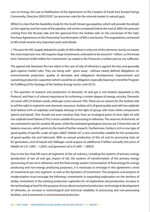Law on Energy, the Law on Ratification of the Agreement on the Creation of South East Europe Energy Community, Directive 2003/55/EC (on **c**ommon rules for the internal market in natural gas**).**

While it is clear that the feasibility study for the South Stream gas pipeline, which will provide the details on the capacity and the route of the pipeline, will not be completed before the end of 2009, the pressure coming from the Russian side and the approval from the Serbian side on the conclusion of the Sale/ Purchase Agreement on the Ownership Transformation of NIS is worrisome. The negotiations connected to NIS entail several very important parts and details.

1. The price for NIS, largely debated in public ( $\epsilon$  400 million) is only one of the elements, but by no means the most important one. NIS requires large investments, estimated to be around € 1 billion, so the broad term "minimum €500 million for investments" (as stated in the Protocol) is neither precise nor sufficient.

The agreed sale (between the two sides) in the case of sale of refineries is against the law, and generally goes against market rules. They are being sold - given away - without clearly defined obligations on environmental protection, quality of derivates and obligations development, improvement and sustaining production capacities (which would be an obligation especially bearing in mind the Program for Fulfilling of the Strategy of the Serbian Energy Sector until 2015).

2. The question of research and production of domestic oil and gas is not treated separately in the Protocol, and that is of utmost importance for achieving a certain degree of energy security. Domestic oil covers 20% of Serbian needs, while gas covers around 10%. There are no reasons for the Serbian side to sell the right to exploit its own domestic resources. Serbian oil is of good quality and with low sulphate level (below 0.5% of sulphate) and largely belongs to the light oil group with more white components (petrol and diesel). One should not even mention that, from an ecological point of view, light oil with low sulphate level (below 0.5%) is more suitable for processing in refineries. The reserves of domestic oil are estimated to last for another 40 years, while the estimated geological reserves are 3 times the size of balance reserves, which points to the need of further research. Furthermore, Serbia is rich in one type of good quality of specific crude oil type called "Velebit oil", a rare commodity suitable for the production of good quality oils and lubricants. With an annual production of this oil and its processing (into oil for generators, and oil based oils) Naftagas could acquire an additional \$1billion annually (the price of Velebit oil is € 1,000 – 1,250/t, and generator oil is €1,600 – 1,800/t)

Due to the fact that NIS owns all segments of the oil industry, including the systems of primary energy (production of raw oil and gas, import of oil), the systems of transformation of the primary energy (processing of raw oil in refineries) and the final energy system (consumption of final energy for energy producing and non-energy producing purposes), it is necessary to envisage in the agreement a level of investments per one segment, as well as the dynamics of investment. The programs and projects of modernization must envisage the following: investments in expanding exploration on the territory of Serbia, investment in the existing production capacities for oil exploration and production, increase in the technological level for the purpose of euro diesel and petrol production, technological development of refineries, an increase in technological and technical reliability of processing and non-processing facilities, and investments in environmental protection.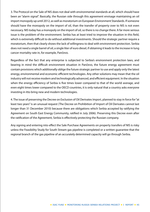3. The Protocol on the Sale of NIS does not deal with environmental standards at all, which should have been an "alarm signal". Basically, the Russian side through this agreement envisage maintaining an oil import monopoly up until 2012, as well as moratorium on European Environment Standards. If someone should have the monopoly on the import of oil, than the transfer of property over to NIS is not even necessary. NIS today has a monopoly on the import of oil, so there is no change there. A far more serious issue is the problem of the environment. Serbia has at least tried to improve the situation in this field, which is extremely difficult to do without additional investments. Should the strategic partner require a moratorium, then that clearly shows the lack of willingness to deal with environment protection. Serbia does not need a single barrel of oil, a single liter of euro diesel, if obtaining it leads to the increase in lung cancer mortality rate in, for example, Pančevo.

Regardless of the fact that any enterprise is subjected to Serbia's environment protection laws, and bearing in mind the difficult environment situation in Pančevo, the future energy agreement must contain provisions which additionally oblige the future strategic partner to use and apply only the latest energy, environmental and economic efficient technologies. Any other solutions may mean that the oil industry will not receive modern and technologically advanced, and efficient equipment. In the situation when the energy efficiency of Serbia is five times lower compared to that of the world average, and even eight times lower compared to the OECD countries, it is only natural that a country asks everyone investing in itto bring new and modern technologies.

4. The issue of preserving the Decree on Exclusion of Oil Derivates Import, planned to stay in force for "at least two years" is an unusual request (The Decree on Prohibition of Import of Oil Derivates cannot last longer than 31 December 2010) because there are obligations which Serbia accepted by ratifying the Agreement on South East Energy Community, ratified in July 2006). Preserving this Decree even after the ratification of the Agreement, Serbia is effectively protecting the Russian company.

Any signing and entering into effect the Sale Purchase Agreements on property transfers of NIS is risky unless the Feasibility Study for South Stream gas pipeline is completed or a written guarantee that the regional branch of the gas pipeline of an accurately determined capacity will go through Serbia.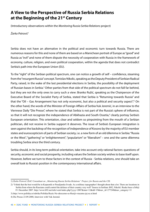### **A View to the Perspective of Russia Serbia Relations at the Beginning of the 21st Century**

(Introductory observations within the *Monitoring Russia Serbia Relations* project)

*Žarko Petrović1*

Serbia does not have an alternative in the political and economic turn towards Russia. There are numerous reasons for this and none of them are based on a Manichean portrait of Europe as "good" and Russia as "evil" and none of them dispute the necessity of cooperation with Russia in the framework of economy, culture, religion, and even political cooperation, within the agenda that does not contradict Serbia's path into the European Union (EU).

To the "right" of the Serbian political spectrum, one can notice a growth of self – confidence, steaming from the "resurgent Russia" concept. Tomislav Nikolic, speaking as the Deputy President of Serbian Radical Party, raised, in the wake of the last presidential elections in Serbia, the possibility of the deployment of Russian bases in Serbia.<sup>2</sup> Other parties from that side of the political spectrum do not fall far behind, but they are not the only ones to carry such a view: Branko Ružić, speaking as the Chairperson of the Executive Board of the Socialist Party of Serbia, stated that Serbia is "Returning towards Russia" and that the "Oil – Gas Arrangement has not only economic, but also a political and security aspect".<sup>3</sup> On the other hand, the words of the Minister of Foreign Affairs of Serbia Vuk Jeremić, in an interview to the Viennese Daily "Die Presse", where he stated that Serbia is not part of the Russia's sphere of influence, so that it will not recognize the independence of Abkhazia and South Ossetia,<sup>4</sup> clearly portray Serbia's European orientation. This orientation, clear and seldom so pinpointing from the mouth of a Serbian politician, did not receive in Serbia support it deserves. The issue of Serbia's European integration is seen against the backdrop of the recognition of independence of Kosovo by the majority of EU member states and euroscepticism of parts of Serbian society, i.e. a new form of an old dilemma in Serbia: "Russia or the West", "gathering" or "enlightenment", "popularism" or "liberalism" – one and the same dilemma troubling Serbia since the third century.

Serbia should, in its long term political orientation, take into account only rational factors: questions of security, economic and social prosperity, including values the Serbian society wishes to base itself upon. However, before we turn to these factors in the context of Russia - Serbia relations, one should take an overall look to Russia's position in the contemporary international affairs.

3) http://www.politika.rs/rubrike/Politika/Ruzic-Ne-okrecemo-se-Rusiji-vracamo-joj-se.sr.html

<sup>1)</sup> *Žarko Petrović ISAC Consultant on "Monitoring Russia Serbia Relations" Project, for Russia and the CIS.*

<sup>2) &</sup>quot;I think that the best would be in Kopaonik or Pasuljanske livade. As a military topographer I thought about that a lot. There are locations in Serbia from where the Russians could control the defence of their country very well" Source in Serbian: B92, Nikolić: Ruske baze u Srbiji 19. December 2007. http://www.b92.net/info/vesti/index.php?yyyy=2007&mm=12&dd=19&nav\_id=277248&nav\_category=11

<sup>4)</sup> Die Presse 23.09.2008, Interview with Vuk Jeremić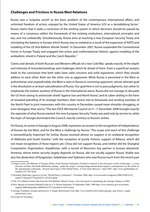### **Challenges and Frictions in Russia West Relations**

Russia sees a "unipolar world" as the basic problem of the contemporary international affairs, and unlimited freedom of action, enjoyed by the United States of America (US) as a destabilizing factor.<sup>1</sup> Russia claims that it seeks a correction of the existing system in which decisions should be passed by means of a consensus within the framework of the existing institutions, international principles and law, and not unilaterally. Simultaneously, Russia aims at reaching a new European Security Treaty and reinstating the balance in Europe which Russia sees as violated as a result of the expansion of NATO and installing of the US Anti Ballistic Missile Shield.<sup>2</sup> In December 2007, Russia suspended the Conventional Forces in Europe Treaty and engaged into active and confrontational rhetoric against installing of the antiballistic shield in Poland and the Czech Republic.3

Claims and denials of both Russian and Western officials of a new Cold War, speaks exactly of the depth and intensity of misunderstandings and challenges which lie ahead of them. Even a superficial analysis leads to the conclusion that both sides have valid concerns and solid arguments, which they should address to each other. Both see the other one as aggressive. While Russia is perceived in the West as authoritarian and unpredictable, the West is seen in Russia as conniving opponent, whose ultimate goal is the dissolution or at least subordination of Russia. Our goal here is not to pass judgments, but rather to emphasize the realistic position of Russia in the international arena. Russia did not manage to dissuade the US from raising its antimissile shield "against Iran and North Korea", and its saber rattling in the form of renewed patrolling of its strategic bombers, their recent visit to Venezuela and sending warships of the North Fleet to joint maneuvers with this country in December caused more shoulder shrugging, or even disregard, than worry.<sup>4</sup> The last OSCE Ministerial Council on 4 – 5 December 2008 brought exactly the opposite of what Russia wanted: the new European Security Treaty was paid only lip service to, while the topic of Georgia dominated the Council, exactly contrary to Russia's wishes.

For Russia, its action in Georgia in August 2008, represents an answer to the recognition of independence of Kosovo by the West, and for the West a challenge by Russia.<sup>5</sup> The scope and reach of this challenge is extraordinarily important for Serbia. Russia received almost no support in its unilateral recognition of Abkhazia and South Ossetia,<sup>6</sup> with the exception of purely rhetoric support of Belarus, which did not mean recognition of these regions yet. China did not support Russia, and neither did the Shanghai Cooperation Organization. Kazakhstan, with a record of Moscow's key partner in Eurasia abstained. Armenia, whose entire security largely depends on Russia, did not vocally support Russia. Visible was also the abstention of Kyrgyzstan, Uzbekistan and Tajikistan who owe Russia much from the recent past

<sup>1)</sup> Sergei Lavrov, the Minister of Foreign Affairs of the Russian Federation, Freedom of speech is also necessary on the world stage (...) every pressure on those who think differently, putting "under the carpet" existing disagreements bears negative consequences for the whole of the international community. "Present and Future of the Global Policy: A View from Moscow", April 2007 http://www.globalaffairs.ru/ numbers/25/7287.html;

<sup>2)</sup> President Medvedev speech in Evian "World Policy Conference", 8 October 2008, http://www.kremlin.ru/appears/2008/10/08/1619\_ type63374type63377type82634\_207422.shtml

<sup>3)</sup> The US withdrew before that from the Anti Ballistic Missile Treaty, a key document in maintaining the strategic balance in 2002.

<sup>4)</sup> Rice Speech at German Marshall Fund on U.S.-Russia Relations 18 September 2008. 2008 http://www.america.gov/st/texttransenglish/2008/September/20080918155132eaifas0.4152033.html;

<sup>5)</sup> George Friedman**,** Georgia and Kosovo: A Single Intertwined Crisis http://www.stratfor.com/weekly/georgia\_and\_kosovo\_single\_ intertwined\_crisis

<sup>6)</sup> Except for Nicaragua.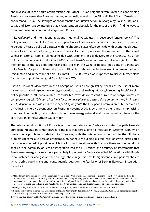and invest a lot in the future of this relationship. Other Russia's neighbors were unified in condemning Russia and so were other European states, individually as well as the EU itself. The US and Canada also condemned Russia. The strength of condemnation of Russia's action in Georgia by Poland, Lithuania, Latvia and Estonia is so intensive that it represents an obstacle for the rest of the EU in finding ways to overcome crisis and continue dialogue with Russia.

In its *realpolitik* and international relations in general, Russia uses its developed "energy policy". This policy is based on "parallelism" and interdependence of political and economic priorities of the Russian Federation. Russia's political disputes with neighboring states often coincide with economic disputes, especially in the field of energy sources. Specifically, the dispute over the monument to the Soviet soldier in Estonian capital Tallinn coincided with problems in gas delivery to this country. The arrest of four Russian officers in Tbilisi in fall 2006 caused Russia's economic embargo to Georgia. Also, often mentioning of the gas debt and raising gas prices in the wake of political decisions in Ukraine are quite familiar. Gazprom initiated the issue of Ukrainian debt for gas, in the wake of commemoration of Holodomor<sup>1</sup> and in the wake of a NATO summit 2 – 3 2008, which was supposed to discuss further plans for membership of Ukraine (and Georgia) into NATO.

Russian President Medvedev, in the Concept of Russia's Foreign Policy, speaks of the use of many instruments, including economic ones, proportional to their real significance, in securing Russia's foreign policy priorities.<sup>2</sup> Influential analysts consider Moscow's desire to control routes of energy sources as completely logical: *"Of course it is ideal for us to have pipelines passing through our territory […] I want you to depend on me, rather than me depending on you".*<sup>3</sup> The European Commission published a plan on reducing energy dependency on Russia in November 2008, by, among other things, emphasizing priorities of connecting Baltic states with European energy network and increasing efforts towards the construction of the Southern gas corridor.4

The international position of Russia is of great importance for Serbia as a state. The path towards European integration cannot disregard the fact that Serbia aims to integrate in system(s) with which Russia has a problematic relationship. Therefore, with the integration of Serbia into the EU these problems become also Serbia's problems. Simultaneously, building bilateral relations with Russia could hardly ever contradict priorities which the EU has in relations with Russia, otherwise one could not speak of the possibility of Serbia's integration into the EU. Besides, the accuracy of assessments that Russia uses energy as a weapon is particularly important for Serbia, since Serbia's relations with Russia in, for instance, oil and gas, and the energy sphere in general, could, significantly limit political choices which Serbia could make and, consequently, question the feasibility of Serbia's European integration processes.

<sup>1) &</sup>quot;Holodomor" is Ukrainian word which signifies events in the 1930s, when a large number of citizens of the Soviet Union died due to malnutrition. The events particularly hard hit Ukraine, the wheat producing part of the USSR. While the Ukrainian Government wishes to depicts these events as a policy of violent "sovietization" and punishing Ukrainians and declare it a "genocide" Russia maintains that people were dying also in Russia and Kazakhstan that it was not the policy and therefore cannot be considered genocide.

<sup>2)</sup> Foreign Policy Concept of the Russian Federation, 12 July 2008, www.kremlin.ru/text/docs/2008/07/204108.shtml

<sup>3)</sup> Sergei Markov in the International Conference of the "Ari Movement", Turkish Daily News, 13.09.2008, Russian-US debate reminiscent of Cold War, http://arama.hurriyet.com.tr/arsivnews.aspx?id=-637250

<sup>4)</sup> www.guardian.co.uk/world/2008/nov/13/eu-russia-energy EU unveils energy plan to reduce dependence on Russia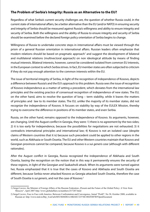### **The Problem of Serbia's Integrity: Russia as an Alternative to the EU?**

Regardless of what Serbia's current security challenges are, the question of whether Russia could, in the current state of international affairs, be a better alternative than the EU (and/or NATO) in ensuring security and integrity of Serbia should be measured against Russia's willingness and ability to ensure integrity and security of Serbia. Both the willingness and the ability of Russia to ensure integrity and security of Serbia should be examined before the declared foreign policy orientation of Serbia begins to change.

Willingness of Russia to undertake concrete steps in international affairs must be viewed through the prism of a general Russian orientation in international affairs. Russian leaders often emphasize that modern relations should be based on pragmatic approach<sup>1</sup> and suggest the development of bilateral and multilateral relations (multivectoral approach) on non ideological attitude by means of finding mutual interests. Bilateral interests, however, cannot be considered isolated from common EU interests, in the European context to which Serbia strives. In fact, EU member states are often subjected to criticism if they do not pay enough attention to the common interests within the EU.

The issue of territorial integrity of Serbia, in light of the recognition of independence of Kosovo, depicts a difference between Russia's and the EU's approach to this problem. Russia sees the issue of recognition of Kosovo independence as a matter of setting a precedent, which deviates from the international law principles and the existing practice of consensual recognition of independence of new states. The EU, on the other hand, aims to resolve the question of long – term stability, while it leaves the matters of principles and law to its member states. The EU, unlike the majority of its member states, did not recognize the independence of Kosovo. It focuses on stability by way of the EULEX Mission, thereby trying to overcome the difference in positions of its member states, and even Serbia.

Russia, on the other hand, remains opposed to the independence of Kosovo. Its arguments, however, are changing. Until the August conflict in Georgia, they were: 1) there is no agreement by the two sides; 2) it is too early for independence, because the possibilities for negotiations are not exhausted; 3) it contradicts international principles and international law; 4) Kosovo is not an isolated case (despite claims of Western countries that it is) because such precedent could be applied to other regions in the world, such as Abkhazia or South Ossetia. The EU and other Western countries maintain that Kosovo and Georgian provinces cannot be compared, because Kosovo is a sui *generis case* (although with different rationales).

After the August conflict in Georgia, Russia recognized the independence of Abkhazia and South Ossetia, basing the recognition on the notion that in this way it permanently ensures the security of these regions, in light of the Georgian and Saakashvili attack. When its arguments were turned against her, Russia emphasized that it is true that the cases of Kosovo and Abkhazia and South Ossetia are different, because Serbia never attacked Kosovo as Georgia attacked South Ossetia, therefore the case of South Ossetia is *sui generis*, and not the case of Kosovo.2

<sup>1)</sup> Sergei Lavrov, the Minister of Foreign Affairs of the Russian Federation "Present and the Future of the Global Policy: A View from Moscow", April 2007 http://www.globalaffairs.ru/numbers/25/7287.html

<sup>2)</sup> SergeI Lavrov, Face to Face with America: Between Confrontation and Convergence, Jurnal "Profil", No 38, October 2008, available in Russian at: http://www.mid.ru/Brp\_4.nsf/arh/B3C8684DEA14B242C32574E1002FD07B?OpenDocument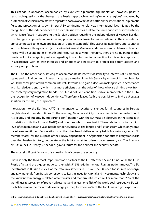This change in approach, accompanied by excellent diplomatic argumentation, however, poses a reasonable question: Is the change in the Russian approach regarding "renegade regions" motivated by protection of Serbian interests with regards to Kosovo or *realpolitik* battle on the international diplomatic field, and protection of its own interest? By continuing to relativize international law, initiated by the recognition of the independence of Kosovo, Russia exposes itself to the same criticism of inconsistency which it itself used in supporting the Serbian position regarding the independence of Kosovo. Besides, this change in approach and maintaining position opens Russia to serious criticism in the international arena connected to its own application of "double standards". This scares its neighbors and countries with problems with separatism (such as Azerbaijan and Moldova) and creates new problems with which Russia will be spending its strength and resources in solving. Therefore, there are no guarantees that Russia will not change its position regarding Kosovo further, in connection to this *ad hoc* approach, in accordance with its own interests and priorities and necessity to protect itself from attacks and subsequent problems.

The EU, on the other hand, striving to accommodate its interest of stability to interests of its member states and to find common interests, creates a situation in which Serbia, by virtue of its membership, would become part of this common interest. It would also gain a decision making voice in accordance with its relative strength, which is far more efficient than the voice of those who are drifting away from the contemporary integration trends. The EU did not (yet) condition Serbia's membership in the EU by the recognition of Kosovo independence. Therefore it leaves (still) the possibility to find a *sui generis* solution for this *sui generis* problem.

Integration into the EU (and NATO) is the answer to security challenges for all countries in Serbia's neighborhood in modern times. To the contrary, Moscow's ability to assist Serbia in the protection of its security and integrity by supporting confrontation with the EU must be observed in the context of its relations with the EU (and NATO) and priorities which these instill. These relations contain a high level of cooperation and vast interdependence, but also challenges and frictions from which only some have been mentioned. Cooperation is, on the other hand, visible in many fields. For instance, certain EU member states, for the purpose of their NATO engagement in Afghanistan conduct military transports over the Russian territory, cooperate in the fight against terrorism, space research, etc. The Russia – NATO Council (currently suspended) gave a forum for the political and security debate.

The most significant factor in this equation is, of course, the economy.

Russia is only the third most important trade partner to the EU, after the US and China, while the EU is Russia's first and the biggest trade partner, with 51.5% ratio in the total Russia's trade turnover. The EU investments in Russia are 75% of the total investments in Russia.<sup>1</sup> The EU need for sources of energy and raw materials from Russia correspond to Russia's need for capital and investments, technology and the *know how* in energy – related area transfer and modern infrastructure. For more than 20% of the world's gas reserves, 5% of proven oil reserves and at least one fifth of the world coal reserves, yjr EU will probably remain the main trade exchange partner, to whom 62% of the total Russian gas export and

<sup>1)</sup> European Commission, Bilateral Trade Relations with Russia: http://ec.europa.eu/trade/issues/bilateral/countries/russia/index\_en.htm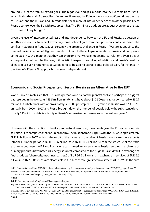around 63% of the total oil export goes.<sup>1</sup> The biggest oil and gas imports into the EU come from Russia, which is also the main EU supplier of uranium. However, the EU economy is about fifteen times the size of Russia's<sup>2</sup> and the Russian and EU trade data speak more of interdependence than of the possibility of Russia's control over the EU with resources it has. The EU military budgets are about seven times the size of Russia's military budget.<sup>3</sup>

Given the level of interconnectedness and interdependence between the EU and Russia, a question of whether it is realistic to expect extracting some political gain from their potential conflict is raised. The conflict in Georgia in August 2008, certainly the greatest challenge in Russia – West relations since the times of Soviet invasion of Afghanistan, did not lead to the collapse of relations. Russia and Europe are connected in such a manner that they can overcome many challenges in mutual relations. Even if this at some point should not be the case, is it realistic to expect the chilling of relations and Russia's need for allies to give such prominence to Serbia for it to be able to extract some political gain, for instance, in the form of different EU approach to Kosovo independence?

### **Economic and Social Prosperity of Serbia: Russia as an Alternative to the EU?**

World Bank estimates are that Russia has perhaps one half of the planet's coal and perhaps the biggest gas reserves in the world. Its 143.5 million inhabitants have about \$12,500 per capita, compared to 490.9 million EU inhabitants with approximately \$38,500 per capita.<sup>4</sup> GDP growth in Russia was 6.5% – 7% annually from 2000 – 2007 and Russia brought down the number of people below the subsistence level to only 14%. All this data is a testify of Russia's impressive performances in the last few years.<sup>5</sup>

However, with the exception of territory and natural resources, the advantage of the Russian economy is still difficult to compare to that of EU economy. The Russian trade surplus with the EU was approximately EUR 54 billion in 2007 which is the result of the increase in the price of Russian energy resource exports into the EU in the period 2000 (EUR 36 billion) to 2007 (EUR 94 billion)<sup>6</sup>. From the structure of the trade exchange between the EU and Russia, one can immediately see a huge Russian surplus in exchange of primary products (raw materials, energy sources), compared to the huge Russian deficit in exchange of final products (chemicals, machines, cars etc) of EUR 56.6 billion and in exchange in services of EUR 6.6 billion in 2007.<sup>7</sup> Differences are also visible in the sum of foreign direct investments (FDI). While the sum

<sup>1)</sup> EU Country Strategy Paper 2007-2013, Russian Federation: http://ec.europa.eu/external\_relations/russia/docs/2007-2013\_en.pdf Strana 35.

<sup>2)</sup> Marc Leonard, Nicu Popescu, A Power Audit of the EU Russia Relations, European Council on Foreign Relations, Policy Paper,

www.ecfr.eu/content/entry/pr\_power\_audit/ (15 January 2008).

<sup>3)</sup> Ibid.

<sup>4)</sup> IMF Data http://www.imf.org/external/datamapper/index.php

<sup>5) (</sup>GNI, Atlas method, WDI-2007). http://web.worldbank.org/WBSITE/EXTERNAL/COUNTRIES/ECAEXT/RUSSIANFEDERATIONEX TN/0,,contentMDK:21054807~menuPK:517666~pagePK:1497618~piPK:217854~theSitePK:305600,00.html

<sup>6)</sup> EUROSTAT News Release, 90/2008 - 24 June 2008.g. http://epp.eurostat.ec.europa.eu/pls/portal/docs/PAGE/PGP\_PRD\_CAT\_PREREL/ PGE\_CAT\_PREREL\_YEAR\_2008/PGE\_CAT\_PREREL\_YEAR\_2008\_MONTH\_06/6-24062008-EN-BP.PDF 7) ibid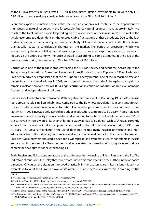of the EU investments in Russia was EUR 17.1 billion, direct Russian investments to EU were only EUR 0.96 billion, thereby making a positive balance in favor of the EU of EUR 16.1 billion.<sup>1</sup>

Economic experts' estimations concur that the Russian economy will continue to be dependent on high prices of natural resources in the foreseeable future. Natural resources make approximately two thirds of the total Russian export (depending on the world prices of these resources).<sup>2</sup> This makes the whole economy too dependent on the unpredictable fluctuations of these products. Due to the lack of diversification of the economy and unpredictability of financial markets and capital flows, Russia dramatically reacts to considerable changes on the market. The period of prosperity, which was jeopardized by the recent fall in natural resource prices, Russia's main exporting product, threatens to jeopardize the entire economy. The price of stability, according to some estimates, in the peak of the financial crisis during September and October 2008 was \$ 100 billion.3

Corruption is one of the biggest problems facing the Russian society and economy. According to the Transparency International Corruption Perception Index, Russia is in the 147<sup>th</sup> place, of 180 ranked states. President Medvedev emphasized that the corruption is enemy number one of the democratic, free and just society in his annual address in 2008, and stressed the necessity of the fight against corruption. It remains unclear, however, how will Russia fight corruption in conditions of questionable level of media freedom and independence of judiciary.

Russia's social indicators are worrisome. With negative birth ration of -0.4% during 1995 – 2005, Russia lost approximately 5 million inhabitants, compared to the EU whose population is in constant growth. If one considers education as an indicator, which leans on the previous example, one could see Russia's lag, which in 2004 invested only 3.1% of its budget in education, compared to EU's 5.1%. Russian citizens are aware where the quality in education lies and, according to the Moscow Levada center, even 63% of the surveyed in Russia would like their children to study abroad (28% do not wish so).<sup>4</sup> Russia currently suffers from the relative intellectual poverty compared to the EU. The brain drain during 1990s took its dues. Any university ranking in the world does not include many Russian universities and high educational institutions (if at all). In its recent address to the Federal Council of the Russian Federation, President Medvedev emphasized a need for a widespread and systematic search for talents in Russia and abroad in the form of a "headhunting" and accelerates the formation of strong state and private centers for development of new technologies.5

Both Russian and EU citizens are aware of the difference in the quality of life in Russia and the EU. The indicators of mutual visits display that much more Russian citizens travel into the EU than in the opposite direction.<sup>6</sup> Of course, the situation improved drastically in the last ten years in Russia, but it is still not even close to what the European way of life offers. Russians themselves know this. According to the

1) ibid

<sup>2)</sup> Vladimir Popov, Russian Analytical Digest, 48/08, 17 October 2008

<sup>3)</sup> The Price of Stability \$100 billion: http://www.izvestiya.ru/economic/article3122742/

<sup>4)</sup> EU Russia Centre, Review VII, Voices from Russia II: What the Russian Middle Class Think About Their Own Country and About Europe, 2008.: http://www.eu-russiacentre.org/assets/Review\_September\_2008.pdf page 18;

<sup>5)</sup> Address to the Federal Council of the Russian Federation, 5 November 2008. www.kremlin.ru/text/appears/2008/11/208749.shtml

<sup>6)</sup> The European Union and Russia, Statistical Comparison, EUROSTAT statistical book 2007.g. http://epp.eurostat.ec.europa.eu/cache/ITY\_ OFFPUB/KS-77-07-231/EN/KS-77-07-231-EN.PDF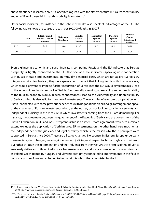abovementioned research, only 46% of citizens agreed with the statement that Russia reached stability and only 29% of those think that this stability is long-term.<sup>1</sup>

Other social indicators, for instance in the sphere of health also speak of advantages of the EU. The following table shows the causes of death per 100,000 deaths in 2007.<sup>2</sup>

|            | <b>Total</b> | Infectious and<br>Parasite – related<br>diseases | Malignant<br><b>Neoplasm</b> | Circular<br><b>System</b><br><b>Diseases</b> | <b>Respiratory</b><br><b>System</b><br><b>Diseases</b> | <b>Digestive</b><br><b>System</b><br><b>Diseases</b> | Outside<br>Causes<br><b>Injuries and</b><br><b>Poisons</b> |
|------------|--------------|--------------------------------------------------|------------------------------|----------------------------------------------|--------------------------------------------------------|------------------------------------------------------|------------------------------------------------------------|
| <b>RUS</b> | 504.2        | 26.2                                             | 183.4                        | 839.7                                        | 61.7                                                   | 61.9                                                 | 205.8                                                      |
| EU         | 671.1        | 8.4                                              | 180.2                        | 264.8                                        | 46.2                                                   | 33.6                                                 | 42.9                                                       |

Even a glance at economic and social indicators comparing Russia and the EU indicate that Serbia's prosperity is tightly connected to the EU. Not one of these indicators speak against cooperation with Russia in trade and investments, on mutually beneficial basis, which are not against Serbia's EU integration priorities. Instead, they only speak about the fact that linking Serbia with Russia in a way which would prevent or impede further integration of Serbia into the EU, would simultaneously lead to the economic and social setback of Serbia. Economically speaking, vulnerability and unpredictability of the Russian economy would, in such connectedness, lead to the vulnerability and unpredictability of Serbian, which is also valid for the sum of investments. The examples of economic cooperation with Russia, connected with some previous experiences with negotiations on oil and gas arrangement, speak of the character of Russian investments which, at the outset, do not look for total legal certainty and independent judiciary in the measure in which investments coming from the EU are demanding. For instance, the agreement between the government of the Republic of Serbia and the government of the Russian Federation in Oil and Gas Entrepreneurship is an inter – state agreement, which, to a certain extent, excludes the application of Serbian laws. EU investments, on the other hand, very much entail the independence of the judiciary and legal certainty, which is the reason why these principles were supported in Serbia since 2000. These are all value changes. No country in Eastern Europe underwent these social system changes, meaning independent judiciary and respect for human rights, on their own, but rather through the determination and the "influence from the West". Positive results of this influence are clearly visible and difficult to disprove, because economic and social advancement of countries such as Poland, Czech Republic, Hungary and Slovenia are tightly connected to improvements in the field of democracy, rule of law and adhering to human rights which these countries fulfilled.

<sup>1</sup>) EU Russia Centre, Review VII, Voices from Russia II: What the Russian Middle Class Think About Their Own Country and About Europe, 2008: http://www.eu-russiacentre.org/assets/Review\_September\_2008.pdf page 6

<sup>2</sup>) The European Union and Russia, Statistical Comparison, 2007 EUROSTAT statistical book 2007. page 88. http://epp.eurostat.ec.europa.eu/ cache/ITY\_OFFPUB/KS-77-07-231/EN/KS-77-07-231-EN.PDF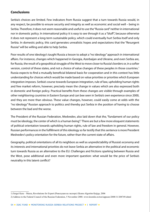### **Conclusions**

Serbia's choices are limited. Few indicators from Russia suggest that a turn towards Russia would, in any respect, be possible to ensure security and integrity as well as economic and social well – being in Serbia. Therefore, it does not seem reasonable and useful to use the "Russia card" neither in international nor in domestic policy. In international policy it is easy to see through it as a "bluff", because otherwise it does not represent a long-term sustainable policy, which could eventually hurt Serbia itself and only Serbia. In domestic policy, this card generates unrealistic hopes and expectations that the "Resurgent Russia" will be willing and able to help Serbia.

Poor results of one ideology's taught Russia a lesson to adopt a "no ideology" approach in international affairs. For instance, changes which happened in Georgia, Azerbaijan and Ukraine, and even Serbia are, for Russia, the result of a geopolitical struggle of the West to move closer to Russia's borders or, in a softer version, control of these states, and not a choice of value changes of these peoples in those countries.<sup>1</sup> Russia expects to find a mutually beneficial bilateral basis for cooperation and in this context has little understanding for choices which would be made based on value priorities or priorities which European integration imposes. Serbia's course towards European integration, rule of law, upholding human rights and free market reform, however, precisely mean the change in values which are also expressed both in domestic and foreign policy. Practical benefits from these changes are visible through examples of other neighboring countries in Eastern Europe and can bee seen in Serbia's own experience since 2000, and they are more than obvious. These value changes, however, could easily come at odds with the "no ideology" Russian approach to politics and thereby put Serbia in the position of having to choose between the bad and the worse.

The President of the Russian Federation, Medvedev, also laid down that the, "fundament of our policy must be ideology, the center of which is a human being".<sup>2</sup> There are but a few more eloquent statements of political orientation towards upholding human rights, rule of law and freedom in general. However, Russian performances in the fulfillment of this ideology so far testify that this sentence is more President Medvedev's policy orientation for the future, rather than the current state of affairs.

Geography, political orientations of all its neighbors as well as unpredictability of Russia's economy and its interests and international priorities do not leave Serbia an alternative in the political and economic turn towards Russia as an alternative to the EU. Challenges and frictions sparking between Russia and the West, pose additional and even more important question: what would be the price of Serbia's neutrality in this latent conflict?

<sup>1)</sup> Sergei Kara – Murza, Revolutions for Export (Револуции на экспорт) Eksmo Algoritm Knjiga, 2006

<sup>2)</sup> Address to the Federal Council of the Russian Federation, 5 November 2008. www.kremlin.ru/text/appears/2008/11/208749.shtml